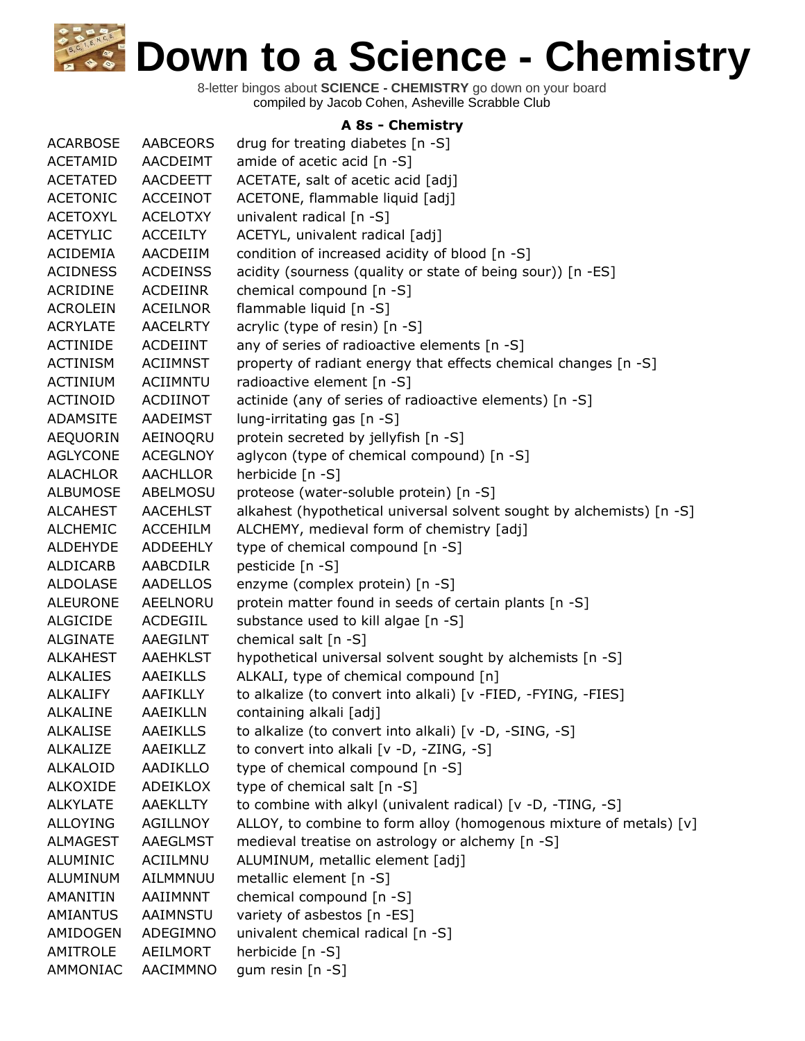8-letter bingos about **SCIENCE - CHEMISTRY** go down on your board compiled by Jacob Cohen, Asheville Scrabble Club

## **A 8s - Chemistry**

| <b>ACARBOSE</b> | AABCEORS        | drug for treating diabetes [n -S]                                     |
|-----------------|-----------------|-----------------------------------------------------------------------|
| ACETAMID        | AACDEIMT        | amide of acetic acid [n -S]                                           |
| <b>ACETATED</b> | <b>AACDEETT</b> | ACETATE, salt of acetic acid [adj]                                    |
| <b>ACETONIC</b> | <b>ACCEINOT</b> | ACETONE, flammable liquid [adj]                                       |
| <b>ACETOXYL</b> | <b>ACELOTXY</b> | univalent radical [n -S]                                              |
| <b>ACETYLIC</b> | <b>ACCEILTY</b> | ACETYL, univalent radical [adj]                                       |
| ACIDEMIA        | AACDEIIM        | condition of increased acidity of blood [n -S]                        |
| <b>ACIDNESS</b> | <b>ACDEINSS</b> | acidity (sourness (quality or state of being sour)) [n -ES]           |
| <b>ACRIDINE</b> | <b>ACDEIINR</b> | chemical compound [n -S]                                              |
| <b>ACROLEIN</b> | <b>ACEILNOR</b> | flammable liquid [n -S]                                               |
| <b>ACRYLATE</b> | <b>AACELRTY</b> | acrylic (type of resin) [n -S]                                        |
| <b>ACTINIDE</b> | <b>ACDEIINT</b> | any of series of radioactive elements [n -S]                          |
| <b>ACTINISM</b> | <b>ACIIMNST</b> | property of radiant energy that effects chemical changes [n -S]       |
| ACTINIUM        | ACIIMNTU        | radioactive element [n -S]                                            |
| ACTINOID        | ACDIINOT        | actinide (any of series of radioactive elements) [n -S]               |
| <b>ADAMSITE</b> | <b>AADEIMST</b> | lung-irritating gas [n -S]                                            |
| AEQUORIN        | AEINOQRU        | protein secreted by jellyfish [n -S]                                  |
| <b>AGLYCONE</b> | <b>ACEGLNOY</b> | aglycon (type of chemical compound) [n -S]                            |
| <b>ALACHLOR</b> | <b>AACHLLOR</b> | herbicide [n -S]                                                      |
| <b>ALBUMOSE</b> | ABELMOSU        | proteose (water-soluble protein) [n -S]                               |
| <b>ALCAHEST</b> | <b>AACEHLST</b> | alkahest (hypothetical universal solvent sought by alchemists) [n -S] |
| <b>ALCHEMIC</b> | <b>ACCEHILM</b> | ALCHEMY, medieval form of chemistry [adj]                             |
| <b>ALDEHYDE</b> | <b>ADDEEHLY</b> | type of chemical compound [n -S]                                      |
| ALDICARB        | <b>AABCDILR</b> | pesticide [n -S]                                                      |
| <b>ALDOLASE</b> | <b>AADELLOS</b> | enzyme (complex protein) [n -S]                                       |
| <b>ALEURONE</b> | AEELNORU        | protein matter found in seeds of certain plants [n -S]                |
| <b>ALGICIDE</b> | ACDEGIIL        | substance used to kill algae [n -S]                                   |
| <b>ALGINATE</b> | AAEGILNT        | chemical salt [n -S]                                                  |
| ALKAHEST        | <b>AAEHKLST</b> | hypothetical universal solvent sought by alchemists [n -S]            |
| <b>ALKALIES</b> | <b>AAEIKLLS</b> | ALKALI, type of chemical compound [n]                                 |
| <b>ALKALIFY</b> | <b>AAFIKLLY</b> | to alkalize (to convert into alkali) [v -FIED, -FYING, -FIES]         |
| <b>ALKALINE</b> | AAEIKLLN        | containing alkali [adj]                                               |
| <b>ALKALISE</b> | <b>AAEIKLLS</b> | to alkalize (to convert into alkali) [v -D, -SING, -S]                |
| ALKALIZE        | AAEIKLLZ        | to convert into alkali [v -D, -ZING, -S]                              |
| <b>ALKALOID</b> | AADIKLLO        | type of chemical compound [n -S]                                      |
| <b>ALKOXIDE</b> | ADEIKLOX        | type of chemical salt [n -S]                                          |
| <b>ALKYLATE</b> | <b>AAEKLLTY</b> | to combine with alkyl (univalent radical) [v -D, -TING, -S]           |
| <b>ALLOYING</b> | <b>AGILLNOY</b> | ALLOY, to combine to form alloy (homogenous mixture of metals) [v]    |
| ALMAGEST        | AAEGLMST        | medieval treatise on astrology or alchemy [n -S]                      |
| <b>ALUMINIC</b> | ACIILMNU        | ALUMINUM, metallic element [adj]                                      |
| ALUMINUM        | AILMMNUU        | metallic element [n -S]                                               |
| AMANITIN        | AAIIMNNT        | chemical compound [n -S]                                              |
| <b>AMIANTUS</b> | AAIMNSTU        | variety of asbestos [n -ES]                                           |
| AMIDOGEN        | ADEGIMNO        | univalent chemical radical [n -S]                                     |
| AMITROLE        | AEILMORT        | herbicide [n -S]                                                      |
| AMMONIAC        | AACIMMNO        | gum resin [n -S]                                                      |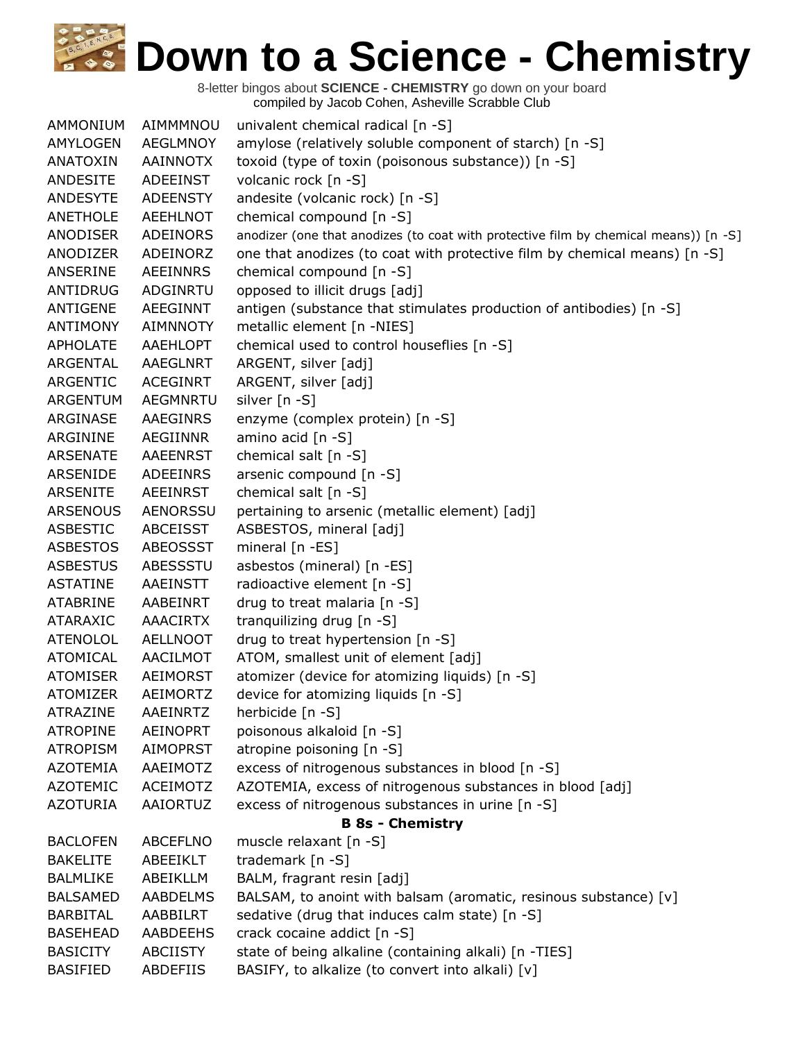| AMMONIUM        | AIMMMNOU        | univalent chemical radical [n -S]                                                    |
|-----------------|-----------------|--------------------------------------------------------------------------------------|
| AMYLOGEN        | <b>AEGLMNOY</b> | amylose (relatively soluble component of starch) [n -S]                              |
| ANATOXIN        | AAINNOTX        | toxoid (type of toxin (poisonous substance)) [n -S]                                  |
| ANDESITE        | <b>ADEEINST</b> | volcanic rock [n -S]                                                                 |
| <b>ANDESYTE</b> | <b>ADEENSTY</b> | andesite (volcanic rock) [n -S]                                                      |
| <b>ANETHOLE</b> | AEEHLNOT        | chemical compound [n -S]                                                             |
| ANODISER        | <b>ADEINORS</b> | anodizer (one that anodizes (to coat with protective film by chemical means)) [n -S] |
| ANODIZER        | ADEINORZ        | one that anodizes (to coat with protective film by chemical means) [n -S]            |
| ANSERINE        | <b>AEEINNRS</b> | chemical compound $[n - S]$                                                          |
| ANTIDRUG        | ADGINRTU        | opposed to illicit drugs [adj]                                                       |
| ANTIGENE        | <b>AEEGINNT</b> | antigen (substance that stimulates production of antibodies) [n -S]                  |
| <b>ANTIMONY</b> | <b>AIMNNOTY</b> | metallic element [n -NIES]                                                           |
| <b>APHOLATE</b> | AAEHLOPT        | chemical used to control houseflies [n -S]                                           |
| ARGENTAL        | <b>AAEGLNRT</b> | ARGENT, silver [adj]                                                                 |
| ARGENTIC        | <b>ACEGINRT</b> | ARGENT, silver [adj]                                                                 |
| <b>ARGENTUM</b> | AEGMNRTU        | silver [n -S]                                                                        |
| ARGINASE        | AAEGINRS        | enzyme (complex protein) [n -S]                                                      |
| ARGININE        | <b>AEGIINNR</b> | amino acid [n -S]                                                                    |
| <b>ARSENATE</b> | AAEENRST        | chemical salt [n -S]                                                                 |
| ARSENIDE        | <b>ADEEINRS</b> | arsenic compound [n -S]                                                              |
| <b>ARSENITE</b> | <b>AEEINRST</b> | chemical salt [n -S]                                                                 |
| <b>ARSENOUS</b> | <b>AENORSSU</b> | pertaining to arsenic (metallic element) [adj]                                       |
| <b>ASBESTIC</b> | <b>ABCEISST</b> | ASBESTOS, mineral [adj]                                                              |
| <b>ASBESTOS</b> | ABEOSSST        | mineral [n -ES]                                                                      |
| <b>ASBESTUS</b> | ABESSSTU        | asbestos (mineral) [n -ES]                                                           |
| <b>ASTATINE</b> | AAEINSTT        | radioactive element [n -S]                                                           |
| <b>ATABRINE</b> | AABEINRT        | drug to treat malaria [n -S]                                                         |
| <b>ATARAXIC</b> | <b>AAACIRTX</b> | tranquilizing drug [n -S]                                                            |
| <b>ATENOLOL</b> | <b>AELLNOOT</b> | drug to treat hypertension [n -S]                                                    |
| <b>ATOMICAL</b> | AACILMOT        | ATOM, smallest unit of element [adj]                                                 |
| <b>ATOMISER</b> | AEIMORST        | atomizer (device for atomizing liquids) [n -S]                                       |
| <b>ATOMIZER</b> | <b>AEIMORTZ</b> | device for atomizing liquids [n -S]                                                  |
| <b>ATRAZINE</b> | <b>AAEINRTZ</b> | herbicide [n -S]                                                                     |
| <b>ATROPINE</b> | <b>AEINOPRT</b> | poisonous alkaloid [n -S]                                                            |
| <b>ATROPISM</b> | <b>AIMOPRST</b> | atropine poisoning [n -S]                                                            |
| <b>AZOTEMIA</b> | AAEIMOTZ        | excess of nitrogenous substances in blood [n -S]                                     |
| <b>AZOTEMIC</b> | ACEIMOTZ        | AZOTEMIA, excess of nitrogenous substances in blood [adj]                            |
| <b>AZOTURIA</b> | AAIORTUZ        | excess of nitrogenous substances in urine [n -S]                                     |
|                 |                 | <b>B 8s - Chemistry</b>                                                              |
| <b>BACLOFEN</b> | <b>ABCEFLNO</b> | muscle relaxant [n -S]                                                               |
| <b>BAKELITE</b> | ABEEIKLT        | trademark [n -S]                                                                     |
| <b>BALMLIKE</b> | <b>ABEIKLLM</b> | BALM, fragrant resin [adj]                                                           |
| <b>BALSAMED</b> | <b>AABDELMS</b> | BALSAM, to anoint with balsam (aromatic, resinous substance) [v]                     |
| <b>BARBITAL</b> | AABBILRT        | sedative (drug that induces calm state) [n -S]                                       |
| <b>BASEHEAD</b> | AABDEEHS        | crack cocaine addict [n -S]                                                          |
| <b>BASICITY</b> | <b>ABCIISTY</b> | state of being alkaline (containing alkali) [n -TIES]                                |
| <b>BASIFIED</b> | ABDEFIIS        | BASIFY, to alkalize (to convert into alkali) [v]                                     |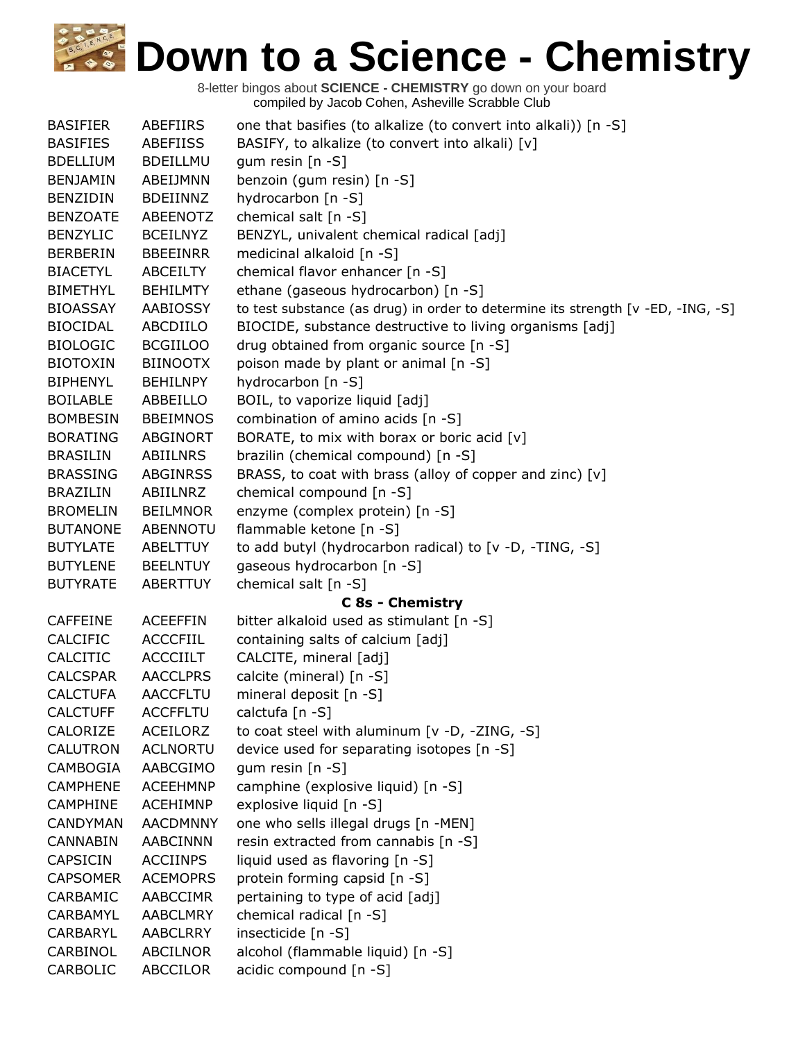| <b>BASIFIER</b> | ABEFIIRS        | one that basifies (to alkalize (to convert into alkali)) [n -S]                  |
|-----------------|-----------------|----------------------------------------------------------------------------------|
| <b>BASIFIES</b> | ABEFIISS        | BASIFY, to alkalize (to convert into alkali) [v]                                 |
| <b>BDELLIUM</b> | <b>BDEILLMU</b> | gum resin [n -S]                                                                 |
| <b>BENJAMIN</b> | ABEIJMNN        | benzoin (gum resin) [n -S]                                                       |
| <b>BENZIDIN</b> | <b>BDEIINNZ</b> | hydrocarbon [n -S]                                                               |
| <b>BENZOATE</b> | ABEENOTZ        | chemical salt [n -S]                                                             |
| <b>BENZYLIC</b> | <b>BCEILNYZ</b> | BENZYL, univalent chemical radical [adj]                                         |
| <b>BERBERIN</b> | <b>BBEEINRR</b> | medicinal alkaloid [n -S]                                                        |
| <b>BIACETYL</b> | ABCEILTY        | chemical flavor enhancer [n -S]                                                  |
| <b>BIMETHYL</b> | <b>BEHILMTY</b> | ethane (gaseous hydrocarbon) [n -S]                                              |
| <b>BIOASSAY</b> | AABIOSSY        | to test substance (as drug) in order to determine its strength [v -ED, -ING, -S] |
| <b>BIOCIDAL</b> | ABCDIILO        | BIOCIDE, substance destructive to living organisms [adj]                         |
| <b>BIOLOGIC</b> | <b>BCGIILOO</b> | drug obtained from organic source [n -S]                                         |
| <b>BIOTOXIN</b> | <b>BIINOOTX</b> | poison made by plant or animal [n -S]                                            |
| <b>BIPHENYL</b> | <b>BEHILNPY</b> | hydrocarbon [n -S]                                                               |
| <b>BOILABLE</b> | ABBEILLO        | BOIL, to vaporize liquid [adj]                                                   |
| <b>BOMBESIN</b> | <b>BBEIMNOS</b> | combination of amino acids [n -S]                                                |
| <b>BORATING</b> | <b>ABGINORT</b> | BORATE, to mix with borax or boric acid [v]                                      |
| <b>BRASILIN</b> | ABIILNRS        | brazilin (chemical compound) [n -S]                                              |
| <b>BRASSING</b> | <b>ABGINRSS</b> | BRASS, to coat with brass (alloy of copper and zinc) [v]                         |
| <b>BRAZILIN</b> | ABIILNRZ        | chemical compound [n -S]                                                         |
| <b>BROMELIN</b> | <b>BEILMNOR</b> | enzyme (complex protein) [n -S]                                                  |
| <b>BUTANONE</b> | ABENNOTU        | flammable ketone [n -S]                                                          |
| <b>BUTYLATE</b> | ABELTTUY        | to add butyl (hydrocarbon radical) to [v -D, -TING, -S]                          |
| <b>BUTYLENE</b> | <b>BEELNTUY</b> | gaseous hydrocarbon [n -S]                                                       |
| <b>BUTYRATE</b> | ABERTTUY        | chemical salt [n -S]                                                             |
|                 |                 | <b>C 8s - Chemistry</b>                                                          |
| <b>CAFFEINE</b> | <b>ACEEFFIN</b> | bitter alkaloid used as stimulant [n -S]                                         |
| <b>CALCIFIC</b> | <b>ACCCFIIL</b> | containing salts of calcium [adj]                                                |
| CALCITIC        | <b>ACCCIILT</b> | CALCITE, mineral [adj]                                                           |
| <b>CALCSPAR</b> | <b>AACCLPRS</b> | calcite (mineral) [n -S]                                                         |
| <b>CALCTUFA</b> | <b>AACCFLTU</b> | mineral deposit [n -S]                                                           |
| <b>CALCTUFF</b> | <b>ACCFFLTU</b> | calctufa [n -S]                                                                  |
| CALORIZE        | ACEILORZ        | to coat steel with aluminum [v -D, -ZING, -S]                                    |
| <b>CALUTRON</b> | <b>ACLNORTU</b> | device used for separating isotopes [n -S]                                       |
| CAMBOGIA        | AABCGIMO        | gum resin [n -S]                                                                 |
| <b>CAMPHENE</b> | <b>ACEEHMNP</b> | camphine (explosive liquid) [n -S]                                               |
| <b>CAMPHINE</b> | <b>ACEHIMNP</b> | explosive liquid [n -S]                                                          |
| <b>CANDYMAN</b> | <b>AACDMNNY</b> | one who sells illegal drugs [n -MEN]                                             |
| <b>CANNABIN</b> | AABCINNN        | resin extracted from cannabis [n -S]                                             |
| <b>CAPSICIN</b> | <b>ACCIINPS</b> | liquid used as flavoring [n -S]                                                  |
| <b>CAPSOMER</b> | <b>ACEMOPRS</b> | protein forming capsid [n -S]                                                    |
| CARBAMIC        | AABCCIMR        | pertaining to type of acid [adj]                                                 |
| CARBAMYL        | <b>AABCLMRY</b> | chemical radical [n -S]                                                          |
| CARBARYL        | <b>AABCLRRY</b> | insecticide [n -S]                                                               |
| CARBINOL        | <b>ABCILNOR</b> | alcohol (flammable liquid) [n -S]                                                |
| CARBOLIC        | <b>ABCCILOR</b> | acidic compound [n -S]                                                           |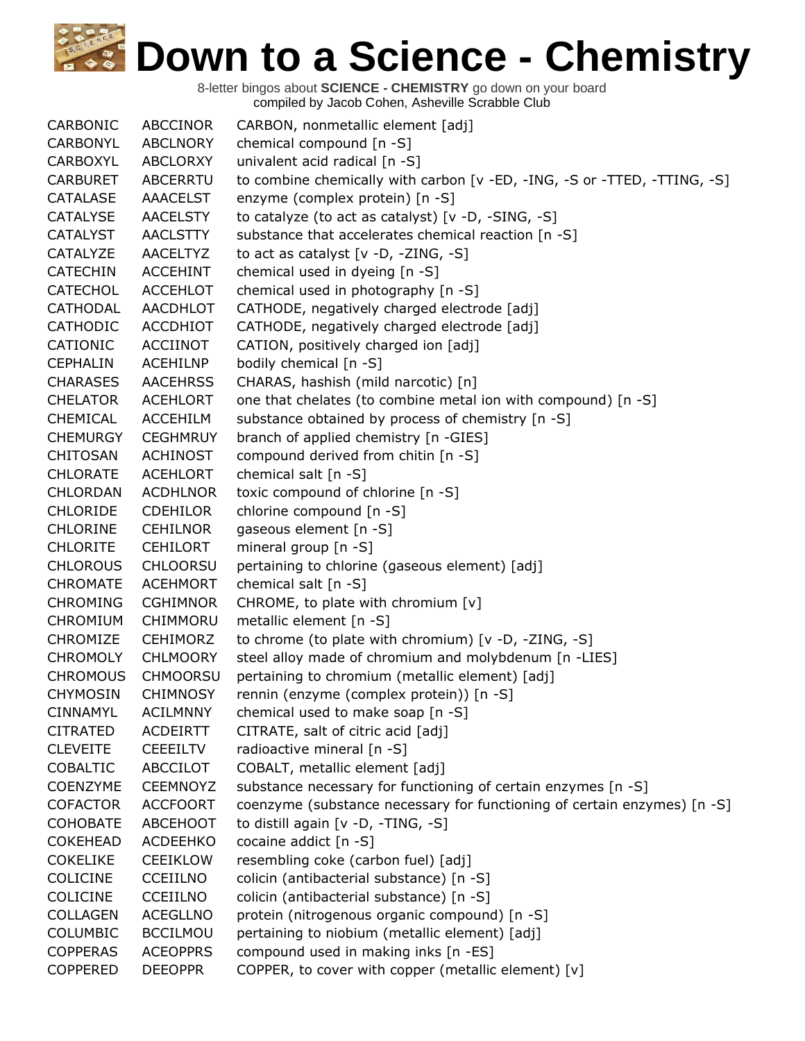| CARBONIC        | <b>ABCCINOR</b> | CARBON, nonmetallic element [adj]                                         |
|-----------------|-----------------|---------------------------------------------------------------------------|
| CARBONYL        | <b>ABCLNORY</b> | chemical compound [n -S]                                                  |
| CARBOXYL        | ABCLORXY        | univalent acid radical [n -S]                                             |
| <b>CARBURET</b> | <b>ABCERRTU</b> | to combine chemically with carbon [v - ED, -ING, -S or -TTED, -TTING, -S] |
| CATALASE        | <b>AAACELST</b> | enzyme (complex protein) [n -S]                                           |
| <b>CATALYSE</b> | <b>AACELSTY</b> | to catalyze (to act as catalyst) $[v -D, -SING, -S]$                      |
| <b>CATALYST</b> | <b>AACLSTTY</b> | substance that accelerates chemical reaction [n -S]                       |
| CATALYZE        | <b>AACELTYZ</b> | to act as catalyst $[v -D, -ZING, -S]$                                    |
| <b>CATECHIN</b> | <b>ACCEHINT</b> | chemical used in dyeing [n -S]                                            |
| <b>CATECHOL</b> | <b>ACCEHLOT</b> | chemical used in photography [n -S]                                       |
| <b>CATHODAL</b> | AACDHLOT        | CATHODE, negatively charged electrode [adj]                               |
| <b>CATHODIC</b> | <b>ACCDHIOT</b> | CATHODE, negatively charged electrode [adj]                               |
| CATIONIC        | <b>ACCIINOT</b> | CATION, positively charged ion [adj]                                      |
| <b>CEPHALIN</b> | <b>ACEHILNP</b> | bodily chemical [n -S]                                                    |
| <b>CHARASES</b> | <b>AACEHRSS</b> | CHARAS, hashish (mild narcotic) [n]                                       |
| <b>CHELATOR</b> | <b>ACEHLORT</b> | one that chelates (to combine metal ion with compound) [n -S]             |
| CHEMICAL        | <b>ACCEHILM</b> | substance obtained by process of chemistry [n -S]                         |
| <b>CHEMURGY</b> | <b>CEGHMRUY</b> | branch of applied chemistry [n -GIES]                                     |
| <b>CHITOSAN</b> | <b>ACHINOST</b> | compound derived from chitin [n -S]                                       |
| <b>CHLORATE</b> | <b>ACEHLORT</b> | chemical salt [n -S]                                                      |
| <b>CHLORDAN</b> | <b>ACDHLNOR</b> | toxic compound of chlorine [n -S]                                         |
| <b>CHLORIDE</b> | <b>CDEHILOR</b> | chlorine compound [n -S]                                                  |
| <b>CHLORINE</b> | <b>CEHILNOR</b> | gaseous element [n -S]                                                    |
| <b>CHLORITE</b> | <b>CEHILORT</b> | mineral group $[n - S]$                                                   |
| <b>CHLOROUS</b> | <b>CHLOORSU</b> | pertaining to chlorine (gaseous element) [adj]                            |
| <b>CHROMATE</b> | <b>ACEHMORT</b> | chemical salt [n -S]                                                      |
| <b>CHROMING</b> | <b>CGHIMNOR</b> | CHROME, to plate with chromium $[v]$                                      |
| <b>CHROMIUM</b> | CHIMMORU        | metallic element [n -S]                                                   |
| CHROMIZE        | <b>CEHIMORZ</b> | to chrome (to plate with chromium) [v -D, -ZING, -S]                      |
| <b>CHROMOLY</b> | <b>CHLMOORY</b> | steel alloy made of chromium and molybdenum [n -LIES]                     |
| <b>CHROMOUS</b> | <b>CHMOORSU</b> | pertaining to chromium (metallic element) [adj]                           |
| <b>CHYMOSIN</b> | <b>CHIMNOSY</b> | rennin (enzyme (complex protein)) [n -S]                                  |
| <b>CINNAMYL</b> | <b>ACILMNNY</b> | chemical used to make soap [n -S]                                         |
| <b>CITRATED</b> | <b>ACDEIRTT</b> | CITRATE, salt of citric acid [adj]                                        |
| <b>CLEVEITE</b> | <b>CEEEILTV</b> | radioactive mineral [n -S]                                                |
| <b>COBALTIC</b> | <b>ABCCILOT</b> | COBALT, metallic element [adj]                                            |
| <b>COENZYME</b> | <b>CEEMNOYZ</b> | substance necessary for functioning of certain enzymes [n -S]             |
| <b>COFACTOR</b> | <b>ACCFOORT</b> | coenzyme (substance necessary for functioning of certain enzymes) [n -S]  |
| <b>COHOBATE</b> | <b>ABCEHOOT</b> | to distill again [v -D, -TING, -S]                                        |
| <b>COKEHEAD</b> | <b>ACDEEHKO</b> | cocaine addict [n -S]                                                     |
| <b>COKELIKE</b> | <b>CEEIKLOW</b> | resembling coke (carbon fuel) [adj]                                       |
| COLICINE        | <b>CCEIILNO</b> | colicin (antibacterial substance) [n -S]                                  |
| <b>COLICINE</b> | <b>CCEIILNO</b> | colicin (antibacterial substance) [n -S]                                  |
| <b>COLLAGEN</b> | <b>ACEGLLNO</b> | protein (nitrogenous organic compound) [n -S]                             |
| <b>COLUMBIC</b> | <b>BCCILMOU</b> | pertaining to niobium (metallic element) [adj]                            |
| <b>COPPERAS</b> | <b>ACEOPPRS</b> | compound used in making inks [n -ES]                                      |
| <b>COPPERED</b> | <b>DEEOPPR</b>  | COPPER, to cover with copper (metallic element) [v]                       |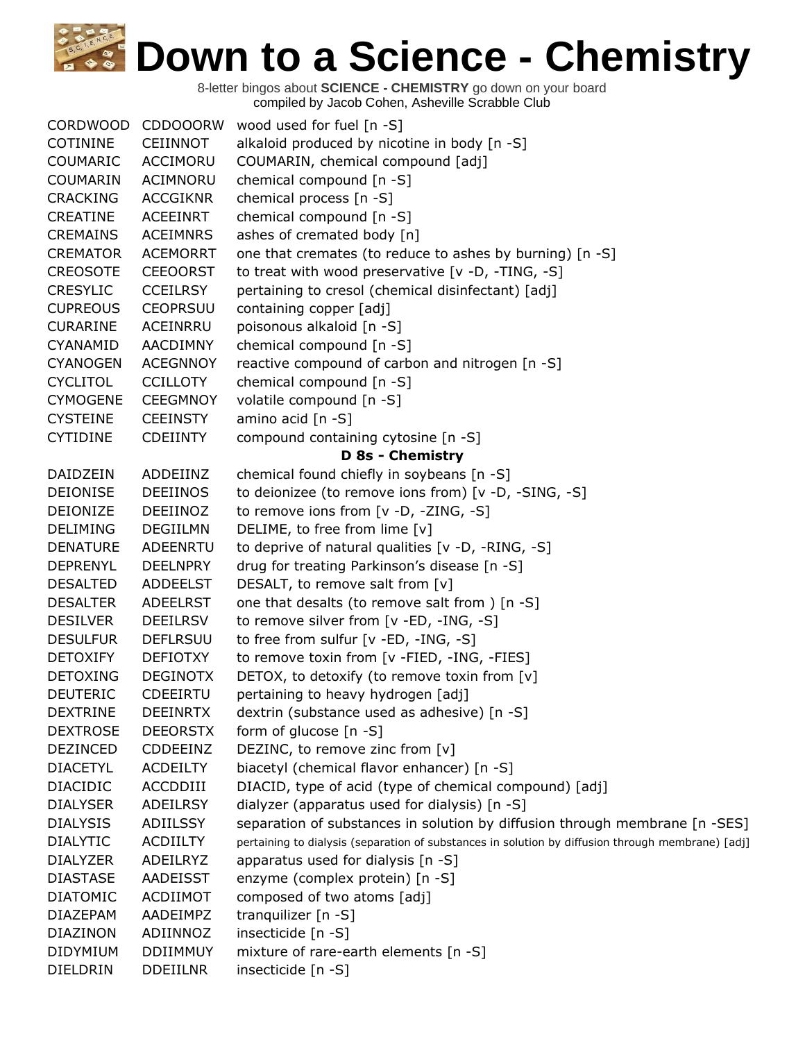| <b>CORDWOOD</b> | <b>CDDOOORW</b> | wood used for fuel [n -S]                                                                         |
|-----------------|-----------------|---------------------------------------------------------------------------------------------------|
| <b>COTININE</b> | <b>CEIINNOT</b> | alkaloid produced by nicotine in body [n -S]                                                      |
| <b>COUMARIC</b> | <b>ACCIMORU</b> | COUMARIN, chemical compound [adj]                                                                 |
| <b>COUMARIN</b> | <b>ACIMNORU</b> | chemical compound [n -S]                                                                          |
| <b>CRACKING</b> | <b>ACCGIKNR</b> | chemical process [n -S]                                                                           |
| CREATINE        | <b>ACEEINRT</b> | chemical compound [n -S]                                                                          |
| <b>CREMAINS</b> | <b>ACEIMNRS</b> | ashes of cremated body [n]                                                                        |
| <b>CREMATOR</b> | <b>ACEMORRT</b> | one that cremates (to reduce to ashes by burning) [n -S]                                          |
| <b>CREOSOTE</b> | <b>CEEOORST</b> | to treat with wood preservative [v -D, -TING, -S]                                                 |
| <b>CRESYLIC</b> | <b>CCEILRSY</b> | pertaining to cresol (chemical disinfectant) [adj]                                                |
| <b>CUPREOUS</b> | <b>CEOPRSUU</b> | containing copper [adj]                                                                           |
| <b>CURARINE</b> | ACEINRRU        | poisonous alkaloid [n -S]                                                                         |
| CYANAMID        | AACDIMNY        | chemical compound [n -S]                                                                          |
| <b>CYANOGEN</b> | <b>ACEGNNOY</b> | reactive compound of carbon and nitrogen [n -S]                                                   |
| <b>CYCLITOL</b> | <b>CCILLOTY</b> | chemical compound [n -S]                                                                          |
| <b>CYMOGENE</b> | <b>CEEGMNOY</b> | volatile compound [n -S]                                                                          |
| <b>CYSTEINE</b> | <b>CEEINSTY</b> | amino acid [n -S]                                                                                 |
| <b>CYTIDINE</b> | <b>CDEIINTY</b> | compound containing cytosine [n -S]                                                               |
|                 |                 | <b>D 8s - Chemistry</b>                                                                           |
| DAIDZEIN        | ADDEIINZ        | chemical found chiefly in soybeans [n -S]                                                         |
| <b>DEIONISE</b> | <b>DEEIINOS</b> | to deionizee (to remove ions from) [v -D, -SING, -S]                                              |
| <b>DEIONIZE</b> | DEEIINOZ        | to remove ions from [v -D, -ZING, -S]                                                             |
| <b>DELIMING</b> | <b>DEGIILMN</b> | DELIME, to free from lime [v]                                                                     |
| <b>DENATURE</b> | <b>ADEENRTU</b> | to deprive of natural qualities [v -D, -RING, -S]                                                 |
| <b>DEPRENYL</b> | <b>DEELNPRY</b> | drug for treating Parkinson's disease [n -S]                                                      |
| <b>DESALTED</b> | <b>ADDEELST</b> | DESALT, to remove salt from [v]                                                                   |
| <b>DESALTER</b> | <b>ADEELRST</b> | one that desalts (to remove salt from ) [n -S]                                                    |
| <b>DESILVER</b> | <b>DEEILRSV</b> | to remove silver from [v -ED, -ING, -S]                                                           |
| <b>DESULFUR</b> | <b>DEFLRSUU</b> | to free from sulfur [v -ED, -ING, -S]                                                             |
| <b>DETOXIFY</b> | <b>DEFIOTXY</b> | to remove toxin from [v -FIED, -ING, -FIES]                                                       |
| <b>DETOXING</b> | <b>DEGINOTX</b> | DETOX, to detoxify (to remove toxin from [v]                                                      |
| <b>DEUTERIC</b> | CDEEIRTU        | pertaining to heavy hydrogen [adj]                                                                |
| <b>DEXTRINE</b> | <b>DEEINRTX</b> | dextrin (substance used as adhesive) [n -S]                                                       |
| <b>DEXTROSE</b> | <b>DEEORSTX</b> | form of glucose [n -S]                                                                            |
| <b>DEZINCED</b> | CDDEEINZ        | DEZINC, to remove zinc from [v]                                                                   |
| <b>DIACETYL</b> | <b>ACDEILTY</b> | biacetyl (chemical flavor enhancer) [n -S]                                                        |
| <b>DIACIDIC</b> | ACCDDIII        | DIACID, type of acid (type of chemical compound) [adj]                                            |
| <b>DIALYSER</b> | <b>ADEILRSY</b> | dialyzer (apparatus used for dialysis) [n -S]                                                     |
| <b>DIALYSIS</b> | ADIILSSY        | separation of substances in solution by diffusion through membrane [n -SES]                       |
| <b>DIALYTIC</b> | <b>ACDIILTY</b> | pertaining to dialysis (separation of substances in solution by diffusion through membrane) [adj] |
| <b>DIALYZER</b> | ADEILRYZ        | apparatus used for dialysis [n -S]                                                                |
| <b>DIASTASE</b> | <b>AADEISST</b> | enzyme (complex protein) [n -S]                                                                   |
| <b>DIATOMIC</b> | ACDIIMOT        | composed of two atoms [adj]                                                                       |
| <b>DIAZEPAM</b> | AADEIMPZ        | tranquilizer [n -S]                                                                               |
| DIAZINON        | ADIINNOZ        | insecticide [n -S]                                                                                |
| DIDYMIUM        | <b>DDIIMMUY</b> | mixture of rare-earth elements [n -S]                                                             |
| DIELDRIN        | <b>DDEIILNR</b> | insecticide [n -S]                                                                                |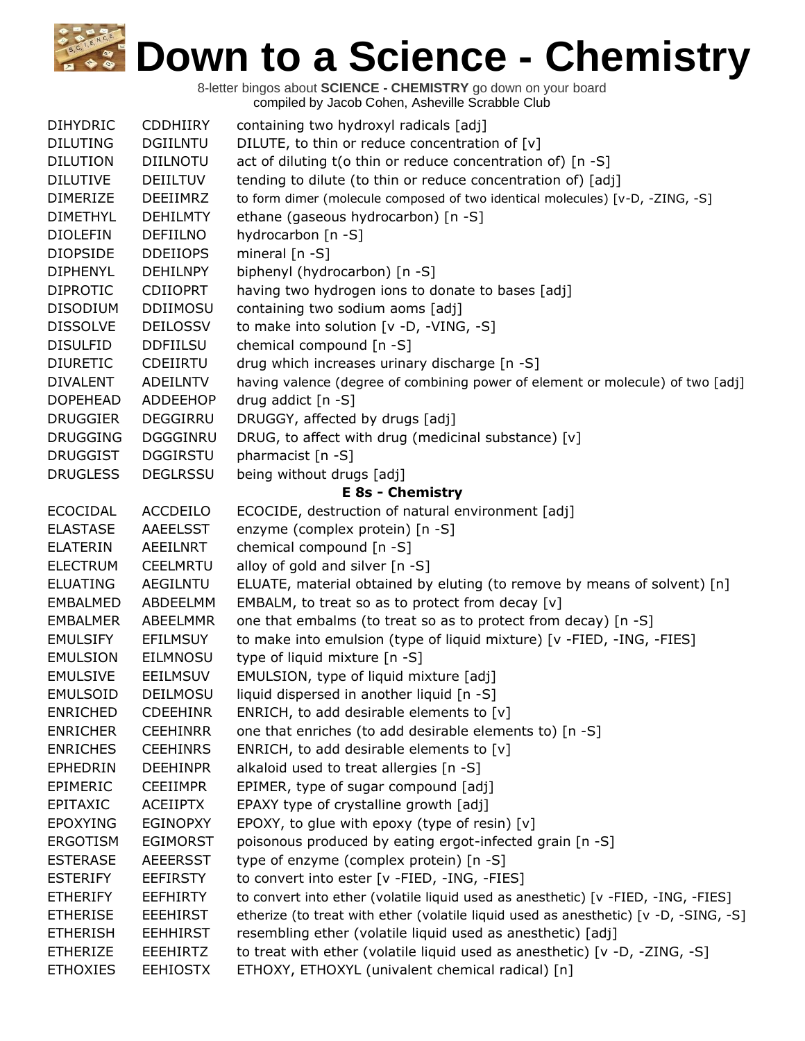| <b>DIHYDRIC</b> | <b>CDDHIIRY</b> | containing two hydroxyl radicals [adj]                                               |
|-----------------|-----------------|--------------------------------------------------------------------------------------|
| <b>DILUTING</b> | <b>DGIILNTU</b> | DILUTE, to thin or reduce concentration of [v]                                       |
| <b>DILUTION</b> | <b>DIILNOTU</b> | act of diluting t(o thin or reduce concentration of) [n -S]                          |
| <b>DILUTIVE</b> | <b>DEIILTUV</b> | tending to dilute (to thin or reduce concentration of) [adj]                         |
| <b>DIMERIZE</b> | DEEIIMRZ        | to form dimer (molecule composed of two identical molecules) [v-D, -ZING, -S]        |
| <b>DIMETHYL</b> | <b>DEHILMTY</b> | ethane (gaseous hydrocarbon) [n -S]                                                  |
| <b>DIOLEFIN</b> | <b>DEFIILNO</b> | hydrocarbon [n -S]                                                                   |
| <b>DIOPSIDE</b> | <b>DDEIIOPS</b> | mineral [n -S]                                                                       |
| <b>DIPHENYL</b> | <b>DEHILNPY</b> | biphenyl (hydrocarbon) [n -S]                                                        |
| <b>DIPROTIC</b> | <b>CDIIOPRT</b> | having two hydrogen ions to donate to bases [adj]                                    |
| <b>DISODIUM</b> | <b>DDIIMOSU</b> | containing two sodium aoms [adj]                                                     |
| <b>DISSOLVE</b> | <b>DEILOSSV</b> | to make into solution [v -D, -VING, -S]                                              |
| <b>DISULFID</b> | <b>DDFIILSU</b> | chemical compound [n -S]                                                             |
| <b>DIURETIC</b> | CDEIIRTU        | drug which increases urinary discharge [n -S]                                        |
| <b>DIVALENT</b> | <b>ADEILNTV</b> | having valence (degree of combining power of element or molecule) of two [adj]       |
| <b>DOPEHEAD</b> | <b>ADDEEHOP</b> | drug addict [n -S]                                                                   |
| <b>DRUGGIER</b> | DEGGIRRU        | DRUGGY, affected by drugs [adj]                                                      |
| <b>DRUGGING</b> | <b>DGGGINRU</b> | DRUG, to affect with drug (medicinal substance) [v]                                  |
| <b>DRUGGIST</b> | <b>DGGIRSTU</b> | pharmacist [n -S]                                                                    |
| <b>DRUGLESS</b> | <b>DEGLRSSU</b> | being without drugs [adj]                                                            |
|                 |                 | <b>E 8s - Chemistry</b>                                                              |
| <b>ECOCIDAL</b> | <b>ACCDEILO</b> | ECOCIDE, destruction of natural environment [adj]                                    |
| <b>ELASTASE</b> | <b>AAEELSST</b> | enzyme (complex protein) [n -S]                                                      |
| <b>ELATERIN</b> | AEEILNRT        | chemical compound [n -S]                                                             |
| <b>ELECTRUM</b> | CEELMRTU        | alloy of gold and silver [n -S]                                                      |
| <b>ELUATING</b> | <b>AEGILNTU</b> | ELUATE, material obtained by eluting (to remove by means of solvent) [n]             |
| <b>EMBALMED</b> | ABDEELMM        | EMBALM, to treat so as to protect from decay $[v]$                                   |
| <b>EMBALMER</b> | ABEELMMR        | one that embalms (to treat so as to protect from decay) [n -S]                       |
| <b>EMULSIFY</b> | <b>EFILMSUY</b> | to make into emulsion (type of liquid mixture) [v -FIED, -ING, -FIES]                |
| <b>EMULSION</b> | <b>EILMNOSU</b> | type of liquid mixture [n -S]                                                        |
| <b>EMULSIVE</b> | <b>EEILMSUV</b> | EMULSION, type of liquid mixture [adj]                                               |
| <b>EMULSOID</b> | DEILMOSU        | liquid dispersed in another liquid [n -S]                                            |
| <b>ENRICHED</b> | <b>CDEEHINR</b> | ENRICH, to add desirable elements to $[v]$                                           |
| <b>ENRICHER</b> | <b>CEEHINRR</b> | one that enriches (to add desirable elements to) [n -S]                              |
| <b>ENRICHES</b> | <b>CEEHINRS</b> | ENRICH, to add desirable elements to [v]                                             |
| <b>EPHEDRIN</b> | <b>DEEHINPR</b> | alkaloid used to treat allergies [n -S]                                              |
| <b>EPIMERIC</b> | <b>CEEIIMPR</b> | EPIMER, type of sugar compound [adj]                                                 |
| <b>EPITAXIC</b> | <b>ACEIIPTX</b> | EPAXY type of crystalline growth [adj]                                               |
| <b>EPOXYING</b> | <b>EGINOPXY</b> | EPOXY, to glue with epoxy (type of resin) [v]                                        |
| <b>ERGOTISM</b> | <b>EGIMORST</b> | poisonous produced by eating ergot-infected grain [n -S]                             |
| <b>ESTERASE</b> | <b>AEEERSST</b> | type of enzyme (complex protein) [n -S]                                              |
| <b>ESTERIFY</b> | <b>EEFIRSTY</b> | to convert into ester [v -FIED, -ING, -FIES]                                         |
| <b>ETHERIFY</b> | <b>EEFHIRTY</b> | to convert into ether (volatile liquid used as anesthetic) [v -FIED, -ING, -FIES]    |
| <b>ETHERISE</b> | <b>EEEHIRST</b> | etherize (to treat with ether (volatile liquid used as anesthetic) [v -D, -SING, -S] |
| <b>ETHERISH</b> | <b>EEHHIRST</b> | resembling ether (volatile liquid used as anesthetic) [adj]                          |
| <b>ETHERIZE</b> | <b>EEEHIRTZ</b> | to treat with ether (volatile liquid used as anesthetic) [v -D, -ZING, -S]           |
| <b>ETHOXIES</b> | <b>EEHIOSTX</b> | ETHOXY, ETHOXYL (univalent chemical radical) [n]                                     |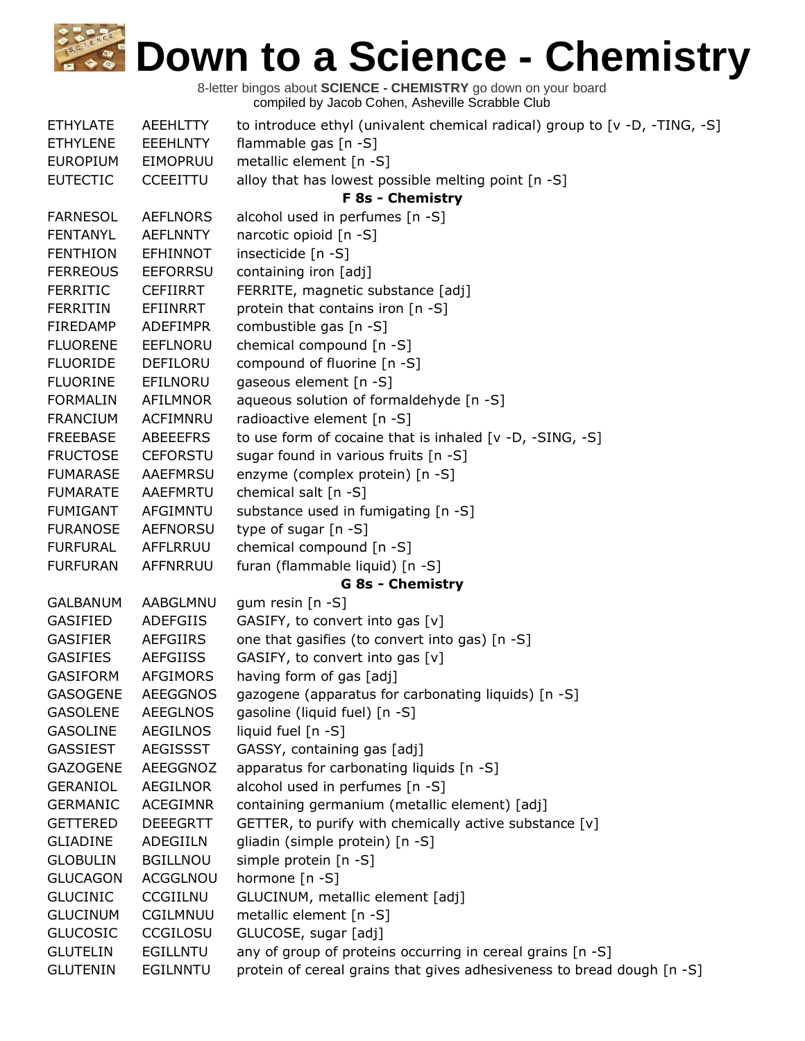| <b>ETHYLATE</b> | <b>AEEHLTTY</b> | to introduce ethyl (univalent chemical radical) group to [v -D, -TING, -S] |
|-----------------|-----------------|----------------------------------------------------------------------------|
| <b>ETHYLENE</b> | <b>EEEHLNTY</b> | flammable gas [n -S]                                                       |
| <b>EUROPIUM</b> | EIMOPRUU        | metallic element [n -S]                                                    |
| <b>EUTECTIC</b> | <b>CCEEITTU</b> | alloy that has lowest possible melting point [n -S]                        |
|                 |                 | F 8s - Chemistry                                                           |
| <b>FARNESOL</b> | <b>AEFLNORS</b> | alcohol used in perfumes [n -S]                                            |
| <b>FENTANYL</b> | <b>AEFLNNTY</b> | narcotic opioid [n -S]                                                     |
| <b>FENTHION</b> | <b>EFHINNOT</b> | insecticide [n -S]                                                         |
| <b>FERREOUS</b> | <b>EEFORRSU</b> | containing iron [adj]                                                      |
| <b>FERRITIC</b> | <b>CEFIIRRT</b> | FERRITE, magnetic substance [adj]                                          |
| <b>FERRITIN</b> | <b>EFIINRRT</b> | protein that contains iron [n -S]                                          |
| FIREDAMP        | <b>ADEFIMPR</b> | combustible gas [n -S]                                                     |
| <b>FLUORENE</b> | EEFLNORU        | chemical compound [n -S]                                                   |
| <b>FLUORIDE</b> | DEFILORU        | compound of fluorine [n -S]                                                |
| <b>FLUORINE</b> | EFILNORU        | gaseous element [n -S]                                                     |
| <b>FORMALIN</b> | AFILMNOR        | aqueous solution of formaldehyde [n -S]                                    |
| <b>FRANCIUM</b> | ACFIMNRU        | radioactive element [n -S]                                                 |
| <b>FREEBASE</b> | ABEEEFRS        | to use form of cocaine that is inhaled [v -D, -SING, -S]                   |
| <b>FRUCTOSE</b> | <b>CEFORSTU</b> | sugar found in various fruits [n -S]                                       |
| <b>FUMARASE</b> | <b>AAEFMRSU</b> | enzyme (complex protein) [n -S]                                            |
| <b>FUMARATE</b> | AAEFMRTU        | chemical salt [n -S]                                                       |
| <b>FUMIGANT</b> | AFGIMNTU        | substance used in fumigating [n -S]                                        |
| <b>FURANOSE</b> | <b>AEFNORSU</b> | type of sugar [n -S]                                                       |
| <b>FURFURAL</b> | AFFLRRUU        | chemical compound [n -S]                                                   |
| <b>FURFURAN</b> | AFFNRRUU        | furan (flammable liquid) [n -S]                                            |
|                 |                 | <b>G 8s - Chemistry</b>                                                    |
| <b>GALBANUM</b> | AABGLMNU        | gum resin $[n -S]$                                                         |
| <b>GASIFIED</b> | <b>ADEFGIIS</b> | GASIFY, to convert into gas [v]                                            |
| <b>GASIFIER</b> | <b>AEFGIIRS</b> | one that gasifies (to convert into gas) [n -S]                             |
| <b>GASIFIES</b> | <b>AEFGIISS</b> | GASIFY, to convert into gas [v]                                            |
| <b>GASIFORM</b> | <b>AFGIMORS</b> | having form of gas [adj]                                                   |
| <b>GASOGENE</b> | <b>AEEGGNOS</b> | gazogene (apparatus for carbonating liquids) [n -S]                        |
| <b>GASOLENE</b> | <b>AEEGLNOS</b> | gasoline (liquid fuel) [n -S]                                              |
| <b>GASOLINE</b> | <b>AEGILNOS</b> | liquid fuel [n -S]                                                         |
| <b>GASSIEST</b> | <b>AEGISSST</b> | GASSY, containing gas [adj]                                                |
| <b>GAZOGENE</b> | AEEGGNOZ        | apparatus for carbonating liquids [n -S]                                   |
| <b>GERANIOL</b> | <b>AEGILNOR</b> | alcohol used in perfumes [n -S]                                            |
| <b>GERMANIC</b> | <b>ACEGIMNR</b> | containing germanium (metallic element) [adj]                              |
| <b>GETTERED</b> | <b>DEEEGRTT</b> | GETTER, to purify with chemically active substance [v]                     |
| <b>GLIADINE</b> | ADEGIILN        | gliadin (simple protein) [n -S]                                            |
| <b>GLOBULIN</b> | <b>BGILLNOU</b> | simple protein [n -S]                                                      |
| <b>GLUCAGON</b> | ACGGLNOU        | hormone [n -S]                                                             |
| <b>GLUCINIC</b> | CCGIILNU        | GLUCINUM, metallic element [adj]                                           |
| <b>GLUCINUM</b> | CGILMNUU        | metallic element [n -S]                                                    |
| <b>GLUCOSIC</b> | CCGILOSU        | GLUCOSE, sugar [adj]                                                       |
| <b>GLUTELIN</b> | <b>EGILLNTU</b> | any of group of proteins occurring in cereal grains [n -S]                 |
| <b>GLUTENIN</b> | <b>EGILNNTU</b> | protein of cereal grains that gives adhesiveness to bread dough [n -S]     |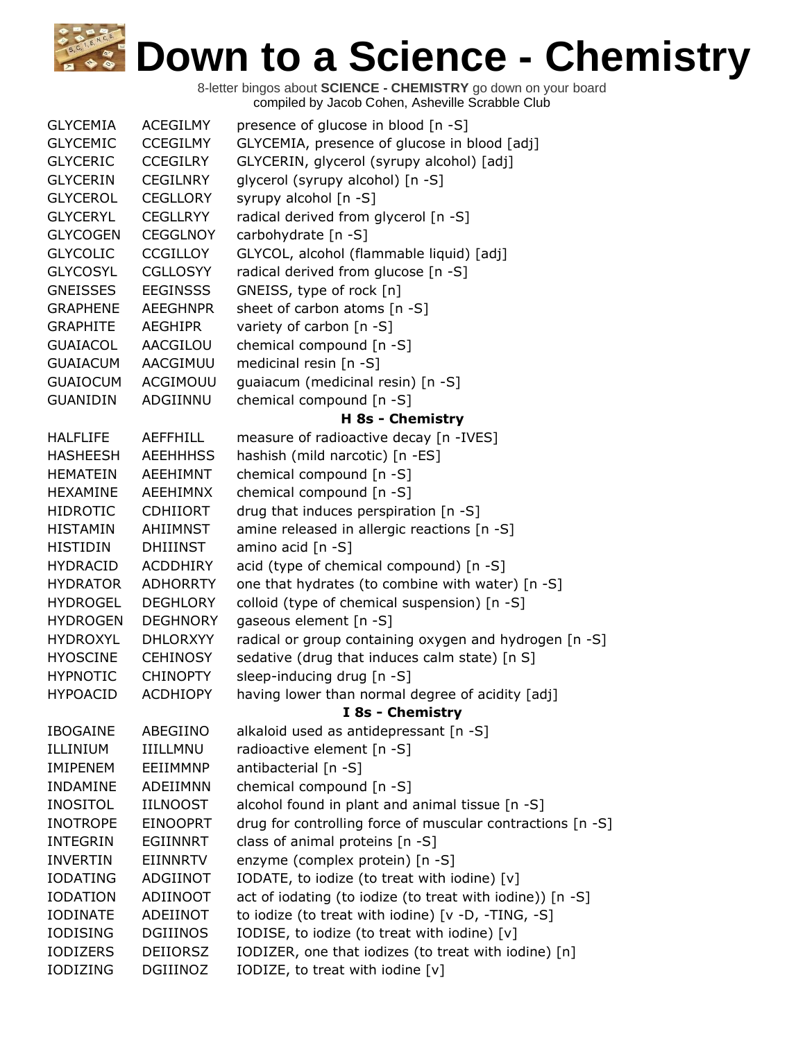| <b>GLYCEMIA</b> | <b>ACEGILMY</b> | presence of glucose in blood [n -S]                        |
|-----------------|-----------------|------------------------------------------------------------|
| <b>GLYCEMIC</b> | <b>CCEGILMY</b> | GLYCEMIA, presence of glucose in blood [adj]               |
| <b>GLYCERIC</b> | <b>CCEGILRY</b> | GLYCERIN, glycerol (syrupy alcohol) [adj]                  |
| <b>GLYCERIN</b> | <b>CEGILNRY</b> | glycerol (syrupy alcohol) [n -S]                           |
| <b>GLYCEROL</b> | <b>CEGLLORY</b> | syrupy alcohol [n -S]                                      |
| <b>GLYCERYL</b> | <b>CEGLLRYY</b> | radical derived from glycerol [n -S]                       |
| <b>GLYCOGEN</b> | <b>CEGGLNOY</b> | carbohydrate [n -S]                                        |
| <b>GLYCOLIC</b> | <b>CCGILLOY</b> | GLYCOL, alcohol (flammable liquid) [adj]                   |
| <b>GLYCOSYL</b> | <b>CGLLOSYY</b> | radical derived from glucose [n -S]                        |
| <b>GNEISSES</b> | <b>EEGINSSS</b> | GNEISS, type of rock [n]                                   |
| <b>GRAPHENE</b> | <b>AEEGHNPR</b> | sheet of carbon atoms [n -S]                               |
| <b>GRAPHITE</b> | <b>AEGHIPR</b>  | variety of carbon [n -S]                                   |
| <b>GUAIACOL</b> | AACGILOU        | chemical compound [n -S]                                   |
| <b>GUAIACUM</b> | AACGIMUU        | medicinal resin [n -S]                                     |
| <b>GUAIOCUM</b> | ACGIMOUU        | guaiacum (medicinal resin) [n -S]                          |
| <b>GUANIDIN</b> | ADGIINNU        | chemical compound [n -S]                                   |
|                 |                 | H 8s - Chemistry                                           |
| <b>HALFLIFE</b> | <b>AEFFHILL</b> | measure of radioactive decay [n -IVES]                     |
| <b>HASHEESH</b> | <b>AEEHHHSS</b> | hashish (mild narcotic) [n -ES]                            |
| <b>HEMATEIN</b> | <b>AEEHIMNT</b> | chemical compound [n -S]                                   |
| <b>HEXAMINE</b> | AEEHIMNX        | chemical compound [n -S]                                   |
| <b>HIDROTIC</b> | <b>CDHIIORT</b> | drug that induces perspiration [n -S]                      |
| <b>HISTAMIN</b> | AHIIMNST        | amine released in allergic reactions [n -S]                |
| <b>HISTIDIN</b> | DHIIINST        | amino acid [n -S]                                          |
| <b>HYDRACID</b> | <b>ACDDHIRY</b> | acid (type of chemical compound) [n -S]                    |
| <b>HYDRATOR</b> | <b>ADHORRTY</b> | one that hydrates (to combine with water) [n -S]           |
| <b>HYDROGEL</b> | <b>DEGHLORY</b> | colloid (type of chemical suspension) [n -S]               |
| <b>HYDROGEN</b> | <b>DEGHNORY</b> | gaseous element [n -S]                                     |
| <b>HYDROXYL</b> | <b>DHLORXYY</b> | radical or group containing oxygen and hydrogen [n -S]     |
| <b>HYOSCINE</b> | <b>CEHINOSY</b> | sedative (drug that induces calm state) [n S]              |
| <b>HYPNOTIC</b> | <b>CHINOPTY</b> | sleep-inducing drug [n -S]                                 |
| <b>HYPOACID</b> | <b>ACDHIOPY</b> | having lower than normal degree of acidity [adj]           |
|                 |                 | I 8s - Chemistry                                           |
| <b>IBOGAINE</b> | ABEGIINO        | alkaloid used as antidepressant [n -S]                     |
| ILLINIUM        | IIILLMNU        | radioactive element [n -S]                                 |
| <b>IMIPENEM</b> | EEIIMMNP        | antibacterial [n -S]                                       |
| <b>INDAMINE</b> | <b>ADEIIMNN</b> | chemical compound [n -S]                                   |
| <b>INOSITOL</b> | <b>IILNOOST</b> | alcohol found in plant and animal tissue [n -S]            |
| <b>INOTROPE</b> | <b>EINOOPRT</b> | drug for controlling force of muscular contractions [n -S] |
| <b>INTEGRIN</b> | <b>EGIINNRT</b> | class of animal proteins [n -S]                            |
| <b>INVERTIN</b> | EIINNRTV        | enzyme (complex protein) [n -S]                            |
| <b>IODATING</b> | ADGIINOT        | IODATE, to iodize (to treat with iodine) [v]               |
| <b>IODATION</b> | ADIINOOT        | act of iodating (to iodize (to treat with iodine)) [n -S]  |
| <b>IODINATE</b> | ADEIINOT        | to iodize (to treat with iodine) [v -D, -TING, -S]         |
| <b>IODISING</b> | <b>DGIIINOS</b> | IODISE, to iodize (to treat with iodine) [v]               |
| <b>IODIZERS</b> | <b>DEIIORSZ</b> | IODIZER, one that iodizes (to treat with iodine) [n]       |
| IODIZING        | DGIIINOZ        | IODIZE, to treat with iodine [v]                           |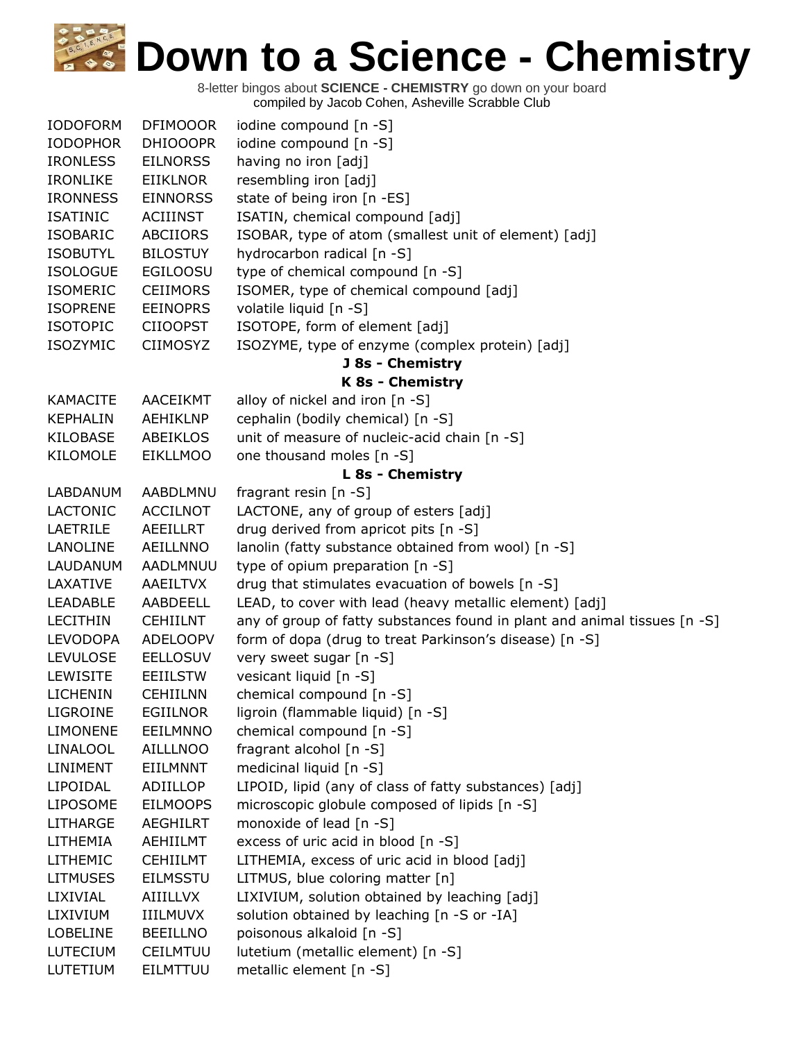| <b>IODOFORM</b> | <b>DFIMOOOR</b> | iodine compound [n -S]                                                    |
|-----------------|-----------------|---------------------------------------------------------------------------|
| <b>IODOPHOR</b> | <b>DHIOOOPR</b> | iodine compound [n -S]                                                    |
| <b>IRONLESS</b> | <b>EILNORSS</b> | having no iron [adj]                                                      |
| <b>IRONLIKE</b> | <b>EIIKLNOR</b> | resembling iron [adj]                                                     |
| <b>IRONNESS</b> | <b>EINNORSS</b> | state of being iron [n -ES]                                               |
| <b>ISATINIC</b> | ACIIINST        | ISATIN, chemical compound [adj]                                           |
| <b>ISOBARIC</b> | <b>ABCIIORS</b> | ISOBAR, type of atom (smallest unit of element) [adj]                     |
| <b>ISOBUTYL</b> | <b>BILOSTUY</b> | hydrocarbon radical [n -S]                                                |
| <b>ISOLOGUE</b> | <b>EGILOOSU</b> | type of chemical compound [n -S]                                          |
| <b>ISOMERIC</b> | <b>CEIIMORS</b> | ISOMER, type of chemical compound [adj]                                   |
| <b>ISOPRENE</b> | <b>EEINOPRS</b> | volatile liquid [n -S]                                                    |
| <b>ISOTOPIC</b> | <b>CIIOOPST</b> | ISOTOPE, form of element [adj]                                            |
| <b>ISOZYMIC</b> | <b>CIIMOSYZ</b> | ISOZYME, type of enzyme (complex protein) [adj]                           |
|                 |                 | <b>J 8s - Chemistry</b>                                                   |
|                 |                 | K 8s - Chemistry                                                          |
| <b>KAMACITE</b> | AACEIKMT        | alloy of nickel and iron $[n -S]$                                         |
| <b>KEPHALIN</b> | <b>AEHIKLNP</b> | cephalin (bodily chemical) [n -S]                                         |
| <b>KILOBASE</b> | <b>ABEIKLOS</b> | unit of measure of nucleic-acid chain [n -S]                              |
| <b>KILOMOLE</b> | <b>EIKLLMOO</b> | one thousand moles [n -S]                                                 |
|                 |                 | L 8s - Chemistry                                                          |
| LABDANUM        | AABDLMNU        | fragrant resin [n -S]                                                     |
| <b>LACTONIC</b> | <b>ACCILNOT</b> | LACTONE, any of group of esters [adj]                                     |
| LAETRILE        | AEEILLRT        | drug derived from apricot pits [n -S]                                     |
| LANOLINE        | AEILLNNO        | lanolin (fatty substance obtained from wool) [n -S]                       |
| LAUDANUM        | AADLMNUU        | type of opium preparation [n -S]                                          |
| LAXATIVE        | AAEILTVX        | drug that stimulates evacuation of bowels [n -S]                          |
| <b>LEADABLE</b> | AABDEELL        | LEAD, to cover with lead (heavy metallic element) [adj]                   |
| <b>LECITHIN</b> | <b>CEHIILNT</b> | any of group of fatty substances found in plant and animal tissues [n -S] |
| <b>LEVODOPA</b> | <b>ADELOOPV</b> | form of dopa (drug to treat Parkinson's disease) [n -S]                   |
| <b>LEVULOSE</b> | <b>EELLOSUV</b> | very sweet sugar [n -S]                                                   |
| <b>LEWISITE</b> | <b>EEIILSTW</b> | vesicant liquid [n -S]                                                    |
| <b>LICHENIN</b> | <b>CEHIILNN</b> | chemical compound [n -S]                                                  |
| <b>LIGROINE</b> | <b>EGIILNOR</b> | ligroin (flammable liquid) [n -S]                                         |
| <b>LIMONENE</b> | EEILMNNO        | chemical compound [n -S]                                                  |
| LINALOOL        | <b>AILLLNOO</b> | fragrant alcohol [n -S]                                                   |
| LINIMENT        | EIILMNNT        | medicinal liquid [n -S]                                                   |
| LIPOIDAL        | ADIILLOP        | LIPOID, lipid (any of class of fatty substances) [adj]                    |
| <b>LIPOSOME</b> | <b>EILMOOPS</b> | microscopic globule composed of lipids [n -S]                             |
| <b>LITHARGE</b> | <b>AEGHILRT</b> | monoxide of lead [n -S]                                                   |
| LITHEMIA        | AEHIILMT        | excess of uric acid in blood [n -S]                                       |
| <b>LITHEMIC</b> | <b>CEHIILMT</b> | LITHEMIA, excess of uric acid in blood [adj]                              |
| <b>LITMUSES</b> | <b>EILMSSTU</b> | LITMUS, blue coloring matter [n]                                          |
| LIXIVIAL        | AIIILLVX        | LIXIVIUM, solution obtained by leaching [adj]                             |
| LIXIVIUM        | IIILMUVX        | solution obtained by leaching [n -S or -IA]                               |
| <b>LOBELINE</b> | <b>BEEILLNO</b> | poisonous alkaloid [n -S]                                                 |
| LUTECIUM        | CEILMTUU        | lutetium (metallic element) [n -S]                                        |
| LUTETIUM        | EILMTTUU        | metallic element [n -S]                                                   |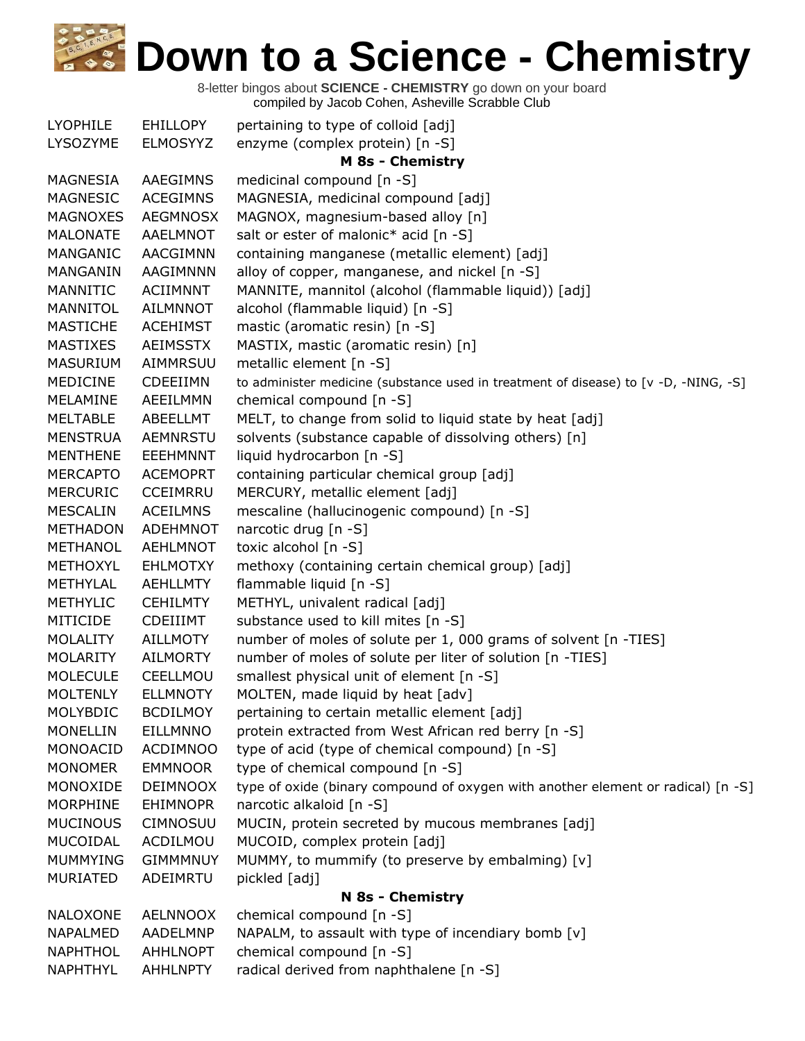| <b>LYOPHILE</b> | <b>EHILLOPY</b> | pertaining to type of colloid [adj]                                                  |
|-----------------|-----------------|--------------------------------------------------------------------------------------|
| LYSOZYME        | <b>ELMOSYYZ</b> | enzyme (complex protein) [n -S]                                                      |
|                 |                 | <b>M 8s - Chemistry</b>                                                              |
| MAGNESIA        | <b>AAEGIMNS</b> | medicinal compound [n -S]                                                            |
| MAGNESIC        | <b>ACEGIMNS</b> | MAGNESIA, medicinal compound [adj]                                                   |
| <b>MAGNOXES</b> | <b>AEGMNOSX</b> | MAGNOX, magnesium-based alloy [n]                                                    |
| <b>MALONATE</b> | AAELMNOT        | salt or ester of malonic* acid [n -S]                                                |
| MANGANIC        | AACGIMNN        | containing manganese (metallic element) [adj]                                        |
| MANGANIN        | AAGIMNNN        | alloy of copper, manganese, and nickel [n -S]                                        |
| MANNITIC        | <b>ACIIMNNT</b> | MANNITE, mannitol (alcohol (flammable liquid)) [adj]                                 |
| MANNITOL        | <b>AILMNNOT</b> | alcohol (flammable liquid) [n -S]                                                    |
| <b>MASTICHE</b> | <b>ACEHIMST</b> | mastic (aromatic resin) [n -S]                                                       |
| <b>MASTIXES</b> | <b>AEIMSSTX</b> | MASTIX, mastic (aromatic resin) [n]                                                  |
| <b>MASURIUM</b> | AIMMRSUU        | metallic element [n -S]                                                              |
| MEDICINE        | <b>CDEEIIMN</b> | to administer medicine (substance used in treatment of disease) to [v -D, -NING, -S] |
| MELAMINE        | AEEILMMN        | chemical compound [n -S]                                                             |
| <b>MELTABLE</b> | ABEELLMT        | MELT, to change from solid to liquid state by heat [adj]                             |
| <b>MENSTRUA</b> | <b>AEMNRSTU</b> | solvents (substance capable of dissolving others) [n]                                |
| <b>MENTHENE</b> | <b>EEEHMNNT</b> | liquid hydrocarbon [n -S]                                                            |
| <b>MERCAPTO</b> | <b>ACEMOPRT</b> | containing particular chemical group [adj]                                           |
| <b>MERCURIC</b> | <b>CCEIMRRU</b> | MERCURY, metallic element [adj]                                                      |
| <b>MESCALIN</b> | <b>ACEILMNS</b> | mescaline (hallucinogenic compound) [n -S]                                           |
| <b>METHADON</b> | <b>ADEHMNOT</b> | narcotic drug [n -S]                                                                 |
| METHANOL        | <b>AEHLMNOT</b> | toxic alcohol [n -S]                                                                 |
| <b>METHOXYL</b> | <b>EHLMOTXY</b> | methoxy (containing certain chemical group) [adj]                                    |
| METHYLAL        | <b>AEHLLMTY</b> | flammable liquid [n -S]                                                              |
| <b>METHYLIC</b> | <b>CEHILMTY</b> | METHYL, univalent radical [adj]                                                      |
| MITICIDE        | CDEIIIMT        | substance used to kill mites [n -S]                                                  |
| <b>MOLALITY</b> | <b>AILLMOTY</b> | number of moles of solute per 1, 000 grams of solvent [n -TIES]                      |
| <b>MOLARITY</b> | <b>AILMORTY</b> | number of moles of solute per liter of solution [n -TIES]                            |
| <b>MOLECULE</b> | CEELLMOU        | smallest physical unit of element [n -S]                                             |
| <b>MOLTENLY</b> | <b>ELLMNOTY</b> | MOLTEN, made liquid by heat [adv]                                                    |
| MOLYBDIC        | <b>BCDILMOY</b> | pertaining to certain metallic element [adj]                                         |
| <b>MONELLIN</b> | <b>EILLMNNO</b> | protein extracted from West African red berry [n -S]                                 |
| MONOACID        | <b>ACDIMNOO</b> | type of acid (type of chemical compound) [n -S]                                      |
| <b>MONOMER</b>  | <b>EMMNOOR</b>  | type of chemical compound [n -S]                                                     |
| MONOXIDE        | <b>DEIMNOOX</b> | type of oxide (binary compound of oxygen with another element or radical) [n -S]     |
| <b>MORPHINE</b> | <b>EHIMNOPR</b> | narcotic alkaloid [n -S]                                                             |
| <b>MUCINOUS</b> | <b>CIMNOSUU</b> | MUCIN, protein secreted by mucous membranes [adj]                                    |
| MUCOIDAL        | ACDILMOU        | MUCOID, complex protein [adj]                                                        |
| <b>MUMMYING</b> | <b>GIMMMNUY</b> | MUMMY, to mummify (to preserve by embalming) [v]                                     |
| <b>MURIATED</b> | ADEIMRTU        | pickled [adj]                                                                        |
|                 |                 | N 8s - Chemistry                                                                     |
| <b>NALOXONE</b> | <b>AELNNOOX</b> | chemical compound [n -S]                                                             |
| NAPALMED        | AADELMNP        | NAPALM, to assault with type of incendiary bomb [v]                                  |
| <b>NAPHTHOL</b> | <b>AHHLNOPT</b> | chemical compound [n -S]                                                             |
| NAPHTHYL        | <b>AHHLNPTY</b> | radical derived from naphthalene [n -S]                                              |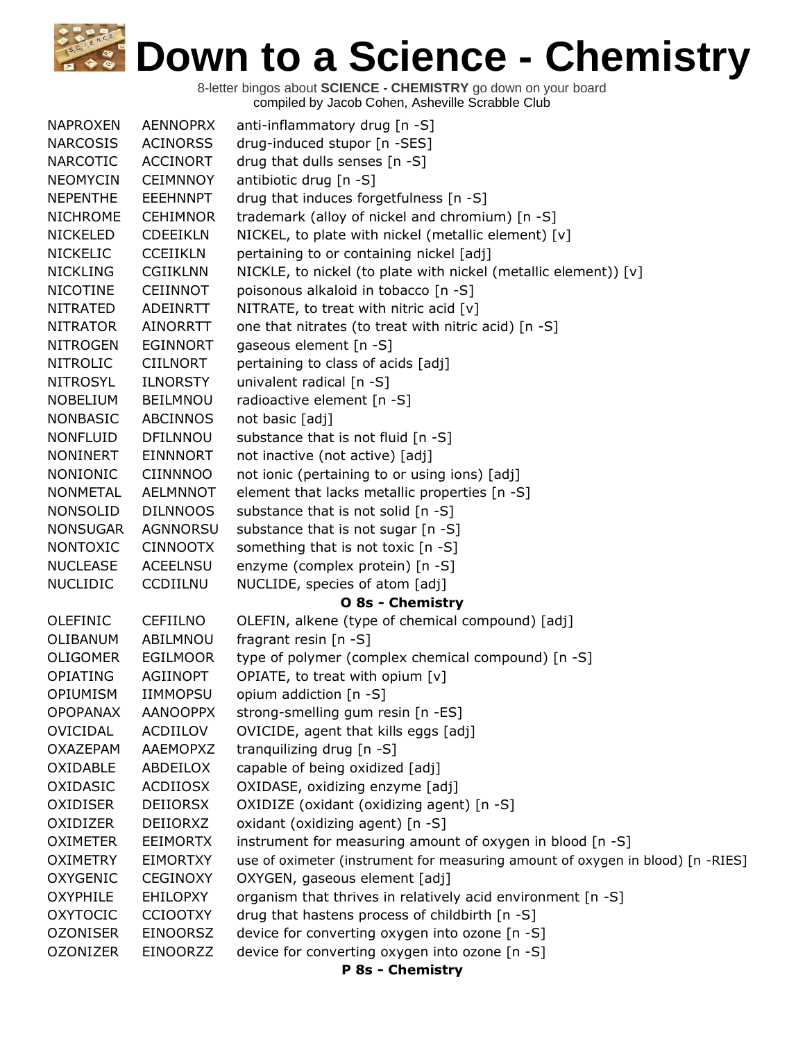| <b>NAPROXEN</b> | <b>AENNOPRX</b> | anti-inflammatory drug [n -S]                                                  |
|-----------------|-----------------|--------------------------------------------------------------------------------|
| <b>NARCOSIS</b> | <b>ACINORSS</b> | drug-induced stupor [n -SES]                                                   |
| <b>NARCOTIC</b> | <b>ACCINORT</b> | drug that dulls senses [n -S]                                                  |
| <b>NEOMYCIN</b> | <b>CEIMNNOY</b> | antibiotic drug [n -S]                                                         |
| <b>NEPENTHE</b> | <b>EEEHNNPT</b> | drug that induces forgetfulness [n -S]                                         |
| <b>NICHROME</b> | <b>CEHIMNOR</b> | trademark (alloy of nickel and chromium) [n -S]                                |
| <b>NICKELED</b> | <b>CDEEIKLN</b> | NICKEL, to plate with nickel (metallic element) [v]                            |
| <b>NICKELIC</b> | <b>CCEIIKLN</b> | pertaining to or containing nickel [adj]                                       |
| <b>NICKLING</b> | <b>CGIIKLNN</b> | NICKLE, to nickel (to plate with nickel (metallic element)) [v]                |
| <b>NICOTINE</b> | CEIINNOT        | poisonous alkaloid in tobacco [n -S]                                           |
| <b>NITRATED</b> | ADEINRTT        | NITRATE, to treat with nitric acid $[v]$                                       |
| <b>NITRATOR</b> | <b>AINORRTT</b> | one that nitrates (to treat with nitric acid) [n -S]                           |
| <b>NITROGEN</b> | <b>EGINNORT</b> | gaseous element [n -S]                                                         |
| <b>NITROLIC</b> | <b>CIILNORT</b> | pertaining to class of acids [adj]                                             |
| <b>NITROSYL</b> | <b>ILNORSTY</b> | univalent radical [n -S]                                                       |
| <b>NOBELIUM</b> | <b>BEILMNOU</b> | radioactive element [n -S]                                                     |
| <b>NONBASIC</b> | <b>ABCINNOS</b> | not basic [adj]                                                                |
| <b>NONFLUID</b> | <b>DFILNNOU</b> | substance that is not fluid [n -S]                                             |
| <b>NONINERT</b> | <b>EINNNORT</b> | not inactive (not active) [adj]                                                |
| <b>NONIONIC</b> | <b>CIINNNOO</b> | not ionic (pertaining to or using ions) [adj]                                  |
| <b>NONMETAL</b> | <b>AELMNNOT</b> | element that lacks metallic properties [n -S]                                  |
| <b>NONSOLID</b> | <b>DILNNOOS</b> | substance that is not solid [n -S]                                             |
| <b>NONSUGAR</b> | <b>AGNNORSU</b> | substance that is not sugar [n -S]                                             |
| <b>NONTOXIC</b> | <b>CINNOOTX</b> | something that is not toxic [n -S]                                             |
| <b>NUCLEASE</b> | <b>ACEELNSU</b> | enzyme (complex protein) [n -S]                                                |
| <b>NUCLIDIC</b> | <b>CCDIILNU</b> | NUCLIDE, species of atom [adj]                                                 |
|                 |                 | <b>O 8s - Chemistry</b>                                                        |
| <b>OLEFINIC</b> | <b>CEFIILNO</b> | OLEFIN, alkene (type of chemical compound) [adj]                               |
| OLIBANUM        | ABILMNOU        | fragrant resin [n -S]                                                          |
| <b>OLIGOMER</b> | <b>EGILMOOR</b> | type of polymer (complex chemical compound) [n -S]                             |
| <b>OPIATING</b> | <b>AGIINOPT</b> | OPIATE, to treat with opium [v]                                                |
| <b>OPIUMISM</b> | <b>IIMMOPSU</b> | opium addiction [n -S]                                                         |
| <b>OPOPANAX</b> | <b>AANOOPPX</b> | strong-smelling gum resin [n -ES]                                              |
| OVICIDAL        | ACDIILOV        | OVICIDE, agent that kills eggs [adj]                                           |
| <b>OXAZEPAM</b> | AAEMOPXZ        | tranquilizing drug [n -S]                                                      |
| OXIDABLE        | ABDEILOX        | capable of being oxidized [adj]                                                |
| OXIDASIC        | <b>ACDIIOSX</b> | OXIDASE, oxidizing enzyme [adj]                                                |
| <b>OXIDISER</b> | <b>DEIIORSX</b> | OXIDIZE (oxidant (oxidizing agent) [n -S]                                      |
| OXIDIZER        | DEIIORXZ        | oxidant (oxidizing agent) [n -S]                                               |
| <b>OXIMETER</b> | <b>EEIMORTX</b> | instrument for measuring amount of oxygen in blood [n -S]                      |
| <b>OXIMETRY</b> | <b>EIMORTXY</b> | use of oximeter (instrument for measuring amount of oxygen in blood) [n -RIES] |
| <b>OXYGENIC</b> | <b>CEGINOXY</b> | OXYGEN, gaseous element [adj]                                                  |
| <b>OXYPHILE</b> | <b>EHILOPXY</b> | organism that thrives in relatively acid environment [n -S]                    |
| <b>OXYTOCIC</b> | <b>CCIOOTXY</b> | drug that hastens process of childbirth [n -S]                                 |
| <b>OZONISER</b> | <b>EINOORSZ</b> | device for converting oxygen into ozone [n -S]                                 |
| <b>OZONIZER</b> | EINOORZZ        | device for converting oxygen into ozone [n -S]                                 |
|                 |                 |                                                                                |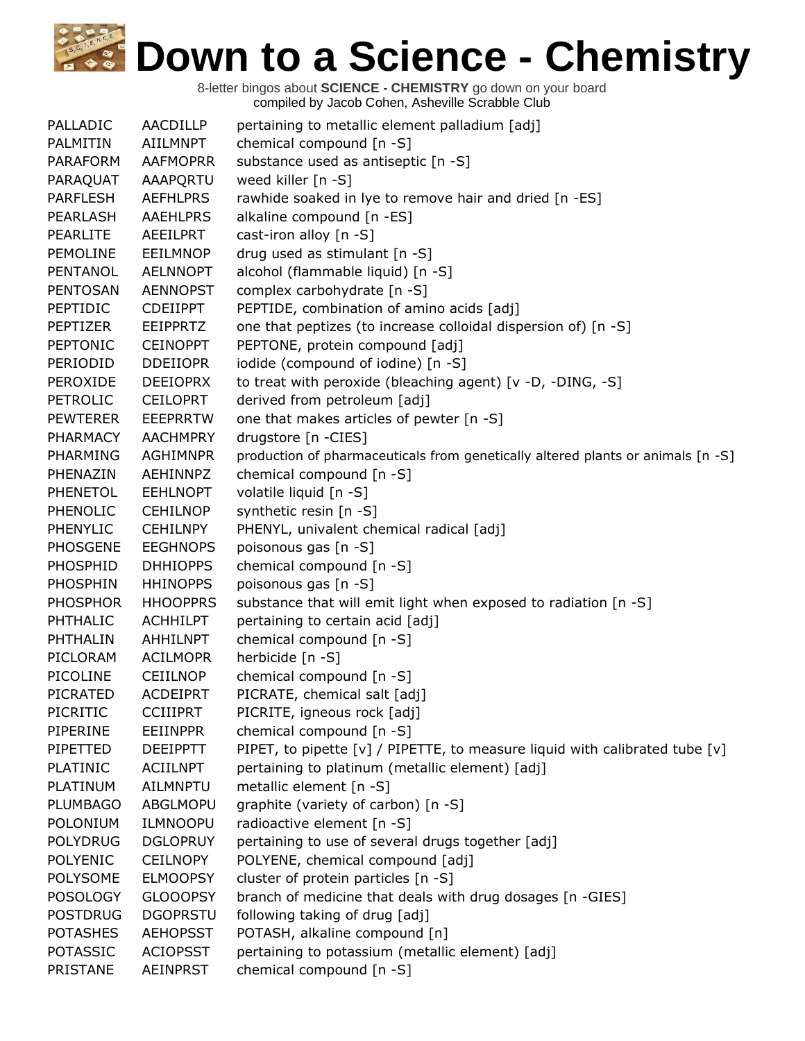| PALLADIC        | AACDILLP        | pertaining to metallic element palladium [adj]                                  |
|-----------------|-----------------|---------------------------------------------------------------------------------|
| PALMITIN        | AIILMNPT        | chemical compound [n -S]                                                        |
| <b>PARAFORM</b> | <b>AAFMOPRR</b> | substance used as antiseptic [n -S]                                             |
| PARAQUAT        | AAAPQRTU        | weed killer [n -S]                                                              |
| <b>PARFLESH</b> | <b>AEFHLPRS</b> | rawhide soaked in lye to remove hair and dried [n -ES]                          |
| PEARLASH        | <b>AAEHLPRS</b> | alkaline compound [n -ES]                                                       |
| <b>PEARLITE</b> | AEEILPRT        | cast-iron alloy [n -S]                                                          |
| <b>PEMOLINE</b> | EEILMNOP        | drug used as stimulant [n -S]                                                   |
| PENTANOL        | <b>AELNNOPT</b> | alcohol (flammable liquid) [n -S]                                               |
| <b>PENTOSAN</b> | <b>AENNOPST</b> | complex carbohydrate [n -S]                                                     |
| PEPTIDIC        | <b>CDEIIPPT</b> | PEPTIDE, combination of amino acids [adj]                                       |
| PEPTIZER        | EEIPPRTZ        | one that peptizes (to increase colloidal dispersion of) [n -S]                  |
| <b>PEPTONIC</b> | <b>CEINOPPT</b> | PEPTONE, protein compound [adj]                                                 |
| PERIODID        | <b>DDEIIOPR</b> | iodide (compound of iodine) [n -S]                                              |
| PEROXIDE        | <b>DEEIOPRX</b> | to treat with peroxide (bleaching agent) [v -D, -DING, -S]                      |
| PETROLIC        | <b>CEILOPRT</b> | derived from petroleum [adj]                                                    |
| <b>PEWTERER</b> | <b>EEEPRRTW</b> | one that makes articles of pewter [n -S]                                        |
| PHARMACY        | <b>AACHMPRY</b> | drugstore [n -CIES]                                                             |
| PHARMING        | <b>AGHIMNPR</b> | production of pharmaceuticals from genetically altered plants or animals [n -S] |
| PHENAZIN        | AEHINNPZ        | chemical compound [n -S]                                                        |
| <b>PHENETOL</b> | <b>EEHLNOPT</b> | volatile liquid [n -S]                                                          |
| PHENOLIC        | <b>CEHILNOP</b> | synthetic resin [n -S]                                                          |
| <b>PHENYLIC</b> | <b>CEHILNPY</b> | PHENYL, univalent chemical radical [adj]                                        |
| <b>PHOSGENE</b> | <b>EEGHNOPS</b> | poisonous gas [n -S]                                                            |
| PHOSPHID        | <b>DHHIOPPS</b> | chemical compound [n -S]                                                        |
| <b>PHOSPHIN</b> | <b>HHINOPPS</b> | poisonous gas [n -S]                                                            |
| <b>PHOSPHOR</b> | <b>HHOOPPRS</b> | substance that will emit light when exposed to radiation [n -S]                 |
| PHTHALIC        | <b>ACHHILPT</b> | pertaining to certain acid [adj]                                                |
| PHTHALIN        | <b>AHHILNPT</b> | chemical compound [n -S]                                                        |
| PICLORAM        | <b>ACILMOPR</b> | herbicide [n -S]                                                                |
| PICOLINE        | <b>CEIILNOP</b> | chemical compound [n -S]                                                        |
| <b>PICRATED</b> | <b>ACDEIPRT</b> | PICRATE, chemical salt [adj]                                                    |
| PICRITIC        | <b>CCIIIPRT</b> | PICRITE, igneous rock [adj]                                                     |
| PIPERINE        | <b>EEIINPPR</b> | chemical compound [n -S]                                                        |
| PIPETTED        | <b>DEEIPPTT</b> | PIPET, to pipette [v] / PIPETTE, to measure liquid with calibrated tube [v]     |
| PLATINIC        | <b>ACIILNPT</b> | pertaining to platinum (metallic element) [adj]                                 |
| PLATINUM        | <b>AILMNPTU</b> | metallic element [n -S]                                                         |
| <b>PLUMBAGO</b> | <b>ABGLMOPU</b> | graphite (variety of carbon) [n -S]                                             |
| POLONIUM        | <b>ILMNOOPU</b> | radioactive element [n -S]                                                      |
| <b>POLYDRUG</b> | <b>DGLOPRUY</b> | pertaining to use of several drugs together [adj]                               |
| <b>POLYENIC</b> | <b>CEILNOPY</b> | POLYENE, chemical compound [adj]                                                |
| <b>POLYSOME</b> | <b>ELMOOPSY</b> | cluster of protein particles [n -S]                                             |
| <b>POSOLOGY</b> | <b>GLOOOPSY</b> | branch of medicine that deals with drug dosages [n -GIES]                       |
| <b>POSTDRUG</b> | <b>DGOPRSTU</b> | following taking of drug [adj]                                                  |
| <b>POTASHES</b> | <b>AEHOPSST</b> | POTASH, alkaline compound [n]                                                   |
| <b>POTASSIC</b> | <b>ACIOPSST</b> | pertaining to potassium (metallic element) [adj]                                |
| <b>PRISTANE</b> | <b>AEINPRST</b> | chemical compound [n -S]                                                        |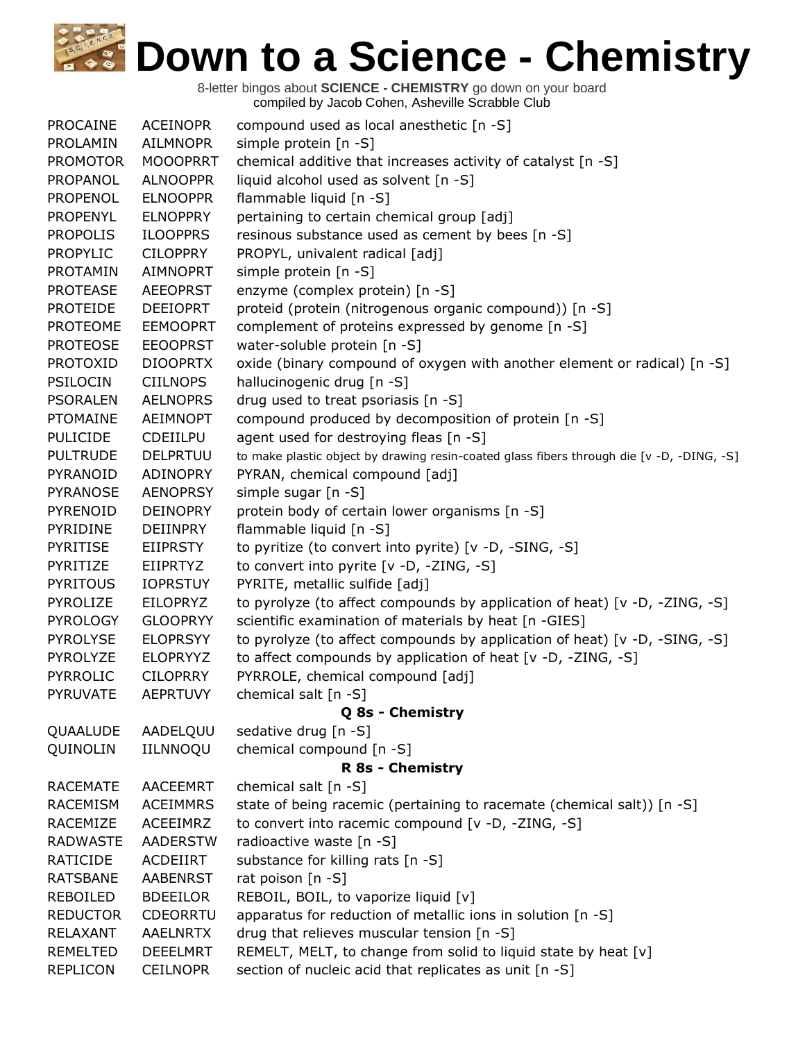| <b>PROCAINE</b> | <b>ACEINOPR</b> | compound used as local anesthetic [n -S]                                                  |
|-----------------|-----------------|-------------------------------------------------------------------------------------------|
| PROLAMIN        | <b>AILMNOPR</b> | simple protein [n -S]                                                                     |
| <b>PROMOTOR</b> | <b>MOOOPRRT</b> | chemical additive that increases activity of catalyst [n -S]                              |
| PROPANOL        | <b>ALNOOPPR</b> | liquid alcohol used as solvent [n -S]                                                     |
| <b>PROPENOL</b> | <b>ELNOOPPR</b> | flammable liquid [n -S]                                                                   |
| <b>PROPENYL</b> | <b>ELNOPPRY</b> | pertaining to certain chemical group [adj]                                                |
| <b>PROPOLIS</b> | <b>ILOOPPRS</b> | resinous substance used as cement by bees [n -S]                                          |
| <b>PROPYLIC</b> | <b>CILOPPRY</b> | PROPYL, univalent radical [adj]                                                           |
| PROTAMIN        | AIMNOPRT        | simple protein [n -S]                                                                     |
| <b>PROTEASE</b> | <b>AEEOPRST</b> | enzyme (complex protein) [n -S]                                                           |
| <b>PROTEIDE</b> | <b>DEEIOPRT</b> | proteid (protein (nitrogenous organic compound)) [n -S]                                   |
| <b>PROTEOME</b> | <b>EEMOOPRT</b> | complement of proteins expressed by genome [n -S]                                         |
| <b>PROTEOSE</b> | <b>EEOOPRST</b> | water-soluble protein [n -S]                                                              |
| <b>PROTOXID</b> | <b>DIOOPRTX</b> | oxide (binary compound of oxygen with another element or radical) [n -S]                  |
| <b>PSILOCIN</b> | <b>CIILNOPS</b> | hallucinogenic drug [n -S]                                                                |
| <b>PSORALEN</b> | <b>AELNOPRS</b> | drug used to treat psoriasis [n -S]                                                       |
| <b>PTOMAINE</b> | <b>AEIMNOPT</b> | compound produced by decomposition of protein [n -S]                                      |
| <b>PULICIDE</b> | CDEIILPU        | agent used for destroying fleas [n -S]                                                    |
| <b>PULTRUDE</b> | <b>DELPRTUU</b> | to make plastic object by drawing resin-coated glass fibers through die [v -D, -DING, -S] |
| PYRANOID        | ADINOPRY        | PYRAN, chemical compound [adj]                                                            |
| <b>PYRANOSE</b> | <b>AENOPRSY</b> | simple sugar [n -S]                                                                       |
| PYRENOID        | <b>DEINOPRY</b> | protein body of certain lower organisms [n -S]                                            |
| PYRIDINE        | DEIINPRY        | flammable liquid [n -S]                                                                   |
| <b>PYRITISE</b> | <b>EIIPRSTY</b> | to pyritize (to convert into pyrite) [v -D, -SING, -S]                                    |
| PYRITIZE        | <b>EIIPRTYZ</b> | to convert into pyrite [v -D, -ZING, -S]                                                  |
| <b>PYRITOUS</b> | <b>IOPRSTUY</b> | PYRITE, metallic sulfide [adj]                                                            |
| PYROLIZE        | <b>EILOPRYZ</b> | to pyrolyze (to affect compounds by application of heat) [v -D, -ZING, -S]                |
| <b>PYROLOGY</b> | <b>GLOOPRYY</b> | scientific examination of materials by heat [n -GIES]                                     |
| <b>PYROLYSE</b> | <b>ELOPRSYY</b> | to pyrolyze (to affect compounds by application of heat) [v -D, -SING, -S]                |
| PYROLYZE        | <b>ELOPRYYZ</b> | to affect compounds by application of heat [v -D, -ZING, -S]                              |
| <b>PYRROLIC</b> | <b>CILOPRRY</b> | PYRROLE, chemical compound [adj]                                                          |
| <b>PYRUVATE</b> | <b>AEPRTUVY</b> | chemical salt [n -S]                                                                      |
|                 |                 | Q 8s - Chemistry                                                                          |
| QUAALUDE        | AADELQUU        | sedative drug [n -S]                                                                      |
| QUINOLIN        | IILNNOQU        | chemical compound [n -S]                                                                  |
|                 |                 | <b>R 8s - Chemistry</b>                                                                   |
| <b>RACEMATE</b> | AACEEMRT        | chemical salt [n -S]                                                                      |
| <b>RACEMISM</b> | <b>ACEIMMRS</b> | state of being racemic (pertaining to racemate (chemical salt)) [n -S]                    |
| RACEMIZE        | ACEEIMRZ        | to convert into racemic compound [v -D, -ZING, -S]                                        |
| <b>RADWASTE</b> | <b>AADERSTW</b> | radioactive waste [n -S]                                                                  |
| <b>RATICIDE</b> | <b>ACDEIIRT</b> | substance for killing rats [n -S]                                                         |
| <b>RATSBANE</b> | <b>AABENRST</b> | rat poison [n -S]                                                                         |
| <b>REBOILED</b> | <b>BDEEILOR</b> | REBOIL, BOIL, to vaporize liquid [v]                                                      |
| <b>REDUCTOR</b> | <b>CDEORRTU</b> | apparatus for reduction of metallic ions in solution [n -S]                               |
| RELAXANT        | <b>AAELNRTX</b> | drug that relieves muscular tension [n -S]                                                |
| <b>REMELTED</b> | <b>DEEELMRT</b> | REMELT, MELT, to change from solid to liquid state by heat [v]                            |
| <b>REPLICON</b> | <b>CEILNOPR</b> | section of nucleic acid that replicates as unit [n -S]                                    |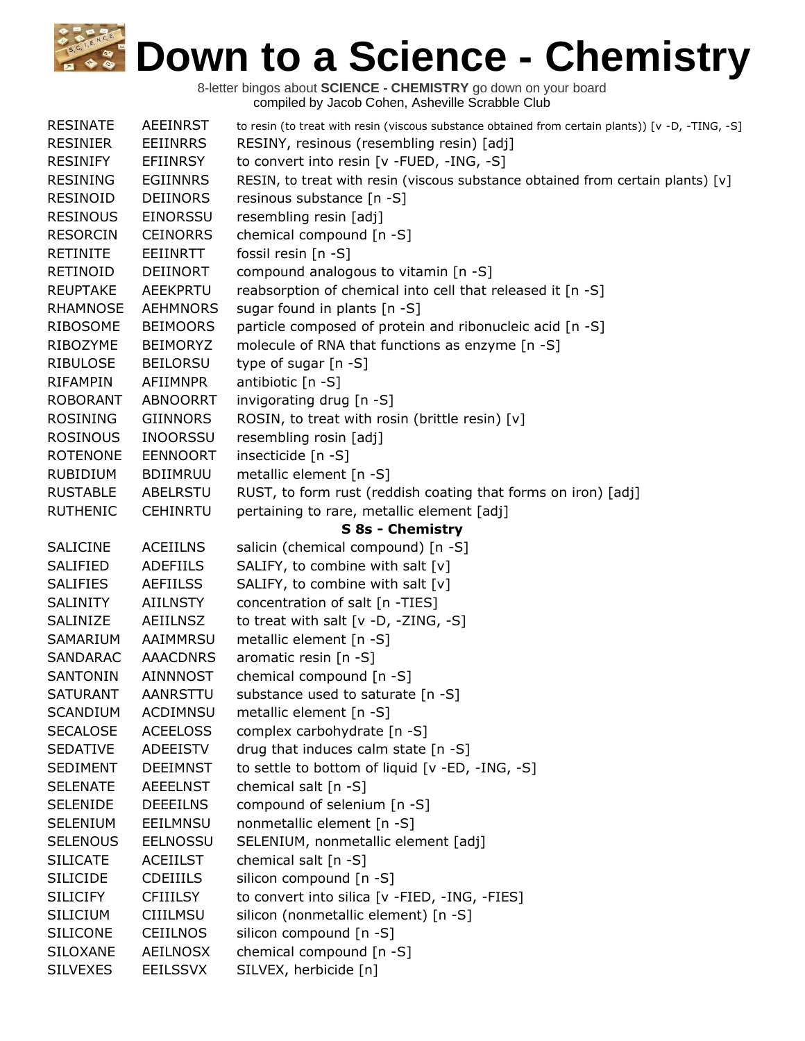| <b>RESINATE</b> | <b>AEEINRST</b> | to resin (to treat with resin (viscous substance obtained from certain plants)) [v -D, -TING, -S] |
|-----------------|-----------------|---------------------------------------------------------------------------------------------------|
| <b>RESINIER</b> | <b>EEIINRRS</b> | RESINY, resinous (resembling resin) [adj]                                                         |
| <b>RESINIFY</b> | <b>EFIINRSY</b> | to convert into resin [v -FUED, -ING, -S]                                                         |
| <b>RESINING</b> | <b>EGIINNRS</b> | RESIN, to treat with resin (viscous substance obtained from certain plants) [v]                   |
| <b>RESINOID</b> | <b>DEIINORS</b> | resinous substance [n -S]                                                                         |
| <b>RESINOUS</b> | EINORSSU        | resembling resin [adj]                                                                            |
| <b>RESORCIN</b> | <b>CEINORRS</b> | chemical compound [n -S]                                                                          |
| <b>RETINITE</b> | EEIINRTT        | fossil resin [n -S]                                                                               |
| RETINOID        | <b>DEIINORT</b> | compound analogous to vitamin [n -S]                                                              |
| <b>REUPTAKE</b> | <b>AEEKPRTU</b> | reabsorption of chemical into cell that released it [n -S]                                        |
| <b>RHAMNOSE</b> | <b>AEHMNORS</b> | sugar found in plants [n -S]                                                                      |
| <b>RIBOSOME</b> | <b>BEIMOORS</b> | particle composed of protein and ribonucleic acid [n -S]                                          |
| RIBOZYME        | <b>BEIMORYZ</b> | molecule of RNA that functions as enzyme [n -S]                                                   |
| <b>RIBULOSE</b> | <b>BEILORSU</b> | type of sugar [n -S]                                                                              |
| <b>RIFAMPIN</b> | AFIIMNPR        | antibiotic [n -S]                                                                                 |
| <b>ROBORANT</b> | <b>ABNOORRT</b> | invigorating drug [n -S]                                                                          |
| <b>ROSINING</b> | <b>GIINNORS</b> | ROSIN, to treat with rosin (brittle resin) [v]                                                    |
| <b>ROSINOUS</b> | <b>INOORSSU</b> | resembling rosin [adj]                                                                            |
| <b>ROTENONE</b> | <b>EENNOORT</b> | insecticide [n -S]                                                                                |
| <b>RUBIDIUM</b> | <b>BDIIMRUU</b> | metallic element [n -S]                                                                           |
| <b>RUSTABLE</b> | ABELRSTU        | RUST, to form rust (reddish coating that forms on iron) [adj]                                     |
| <b>RUTHENIC</b> | <b>CEHINRTU</b> | pertaining to rare, metallic element [adj]                                                        |
|                 |                 | S 8s - Chemistry                                                                                  |
| <b>SALICINE</b> | <b>ACEIILNS</b> | salicin (chemical compound) [n -S]                                                                |
| <b>SALIFIED</b> | <b>ADEFIILS</b> | SALIFY, to combine with salt [v]                                                                  |
| <b>SALIFIES</b> | <b>AEFIILSS</b> | SALIFY, to combine with salt [v]                                                                  |
| <b>SALINITY</b> | <b>AIILNSTY</b> | concentration of salt [n -TIES]                                                                   |
| SALINIZE        | AEIILNSZ        | to treat with salt $[v -D, -ZING, -S]$                                                            |
| SAMARIUM        | AAIMMRSU        | metallic element [n -S]                                                                           |
| <b>SANDARAC</b> | <b>AAACDNRS</b> | aromatic resin [n -S]                                                                             |
| <b>SANTONIN</b> | AINNNOST        | chemical compound [n -S]                                                                          |
| <b>SATURANT</b> | AANRSTTU        | substance used to saturate [n -S]                                                                 |
| <b>SCANDIUM</b> | <b>ACDIMNSU</b> | metallic element [n -S]                                                                           |
| <b>SECALOSE</b> | <b>ACEELOSS</b> | complex carbohydrate [n -S]                                                                       |
| <b>SEDATIVE</b> | ADEEISTV        | drug that induces calm state [n -S]                                                               |
| <b>SEDIMENT</b> | <b>DEEIMNST</b> | to settle to bottom of liquid [v -ED, -ING, -S]                                                   |
| <b>SELENATE</b> | <b>AEEELNST</b> | chemical salt [n -S]                                                                              |
| <b>SELENIDE</b> | <b>DEEEILNS</b> | compound of selenium [n -S]                                                                       |
| <b>SELENIUM</b> | EEILMNSU        | nonmetallic element [n -S]                                                                        |
| <b>SELENOUS</b> | <b>EELNOSSU</b> | SELENIUM, nonmetallic element [adj]                                                               |
| <b>SILICATE</b> | <b>ACEIILST</b> | chemical salt $[n -S]$                                                                            |
| <b>SILICIDE</b> | <b>CDEIIILS</b> | silicon compound [n -S]                                                                           |
| <b>SILICIFY</b> | <b>CFIIILSY</b> | to convert into silica [v -FIED, -ING, -FIES]                                                     |
| <b>SILICIUM</b> | <b>CIIILMSU</b> | silicon (nonmetallic element) [n -S]                                                              |
| <b>SILICONE</b> | <b>CEIILNOS</b> | silicon compound [n -S]                                                                           |
| <b>SILOXANE</b> | <b>AEILNOSX</b> | chemical compound [n -S]                                                                          |
| <b>SILVEXES</b> | <b>EEILSSVX</b> | SILVEX, herbicide [n]                                                                             |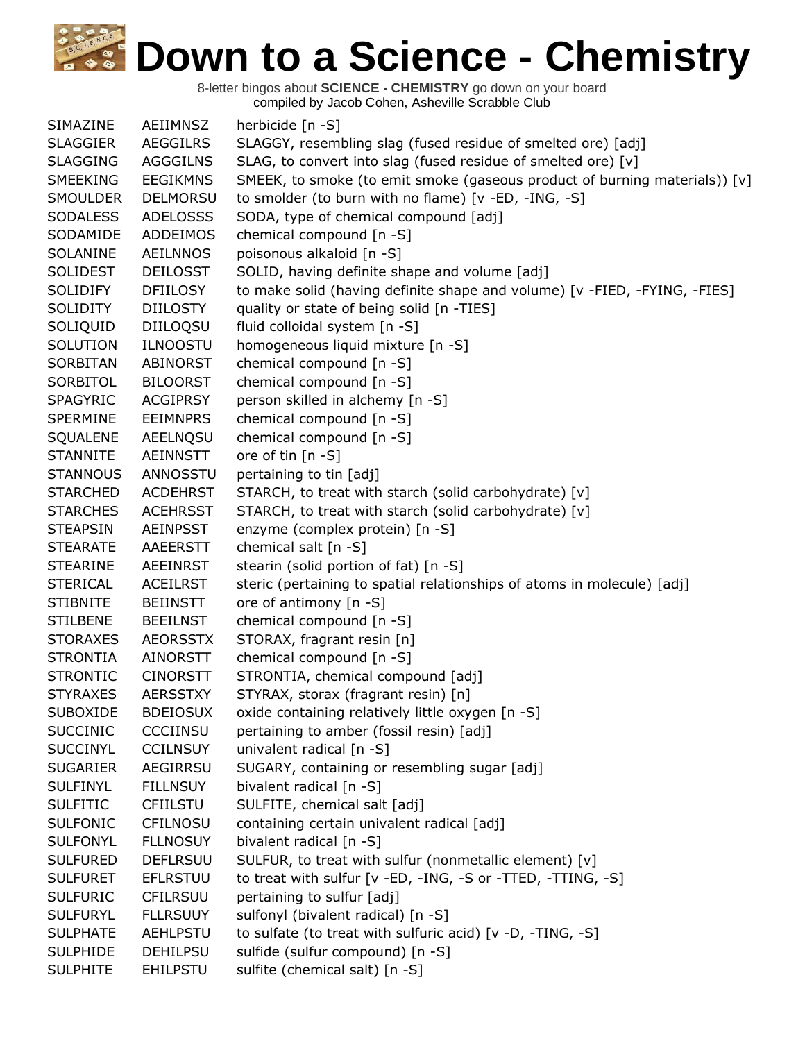| SIMAZINE        | AEIIMNSZ        | herbicide [n -S]                                                           |
|-----------------|-----------------|----------------------------------------------------------------------------|
| <b>SLAGGIER</b> | <b>AEGGILRS</b> | SLAGGY, resembling slag (fused residue of smelted ore) [adj]               |
| <b>SLAGGING</b> | <b>AGGGILNS</b> | SLAG, to convert into slag (fused residue of smelted ore) [v]              |
| <b>SMEEKING</b> | <b>EEGIKMNS</b> | SMEEK, to smoke (to emit smoke (gaseous product of burning materials)) [v] |
| <b>SMOULDER</b> | <b>DELMORSU</b> | to smolder (to burn with no flame) [v -ED, -ING, -S]                       |
| <b>SODALESS</b> | <b>ADELOSSS</b> | SODA, type of chemical compound [adj]                                      |
| SODAMIDE        | <b>ADDEIMOS</b> | chemical compound [n -S]                                                   |
| SOLANINE        | <b>AEILNNOS</b> | poisonous alkaloid [n -S]                                                  |
| <b>SOLIDEST</b> | <b>DEILOSST</b> | SOLID, having definite shape and volume [adj]                              |
| <b>SOLIDIFY</b> | <b>DFIILOSY</b> | to make solid (having definite shape and volume) [v -FIED, -FYING, -FIES]  |
| <b>SOLIDITY</b> | <b>DIILOSTY</b> | quality or state of being solid [n -TIES]                                  |
| SOLIQUID        | DIILOQSU        | fluid colloidal system [n -S]                                              |
| SOLUTION        | <b>ILNOOSTU</b> | homogeneous liquid mixture [n -S]                                          |
| SORBITAN        | <b>ABINORST</b> | chemical compound [n -S]                                                   |
| SORBITOL        | <b>BILOORST</b> | chemical compound [n -S]                                                   |
| SPAGYRIC        | <b>ACGIPRSY</b> | person skilled in alchemy [n -S]                                           |
| SPERMINE        | <b>EEIMNPRS</b> | chemical compound [n -S]                                                   |
| SQUALENE        | AEELNQSU        | chemical compound [n -S]                                                   |
| <b>STANNITE</b> | <b>AEINNSTT</b> | ore of tin $[n - S]$                                                       |
| <b>STANNOUS</b> | ANNOSSTU        | pertaining to tin [adj]                                                    |
| <b>STARCHED</b> | <b>ACDEHRST</b> | STARCH, to treat with starch (solid carbohydrate) [v]                      |
| <b>STARCHES</b> | <b>ACEHRSST</b> | STARCH, to treat with starch (solid carbohydrate) [v]                      |
| <b>STEAPSIN</b> | <b>AEINPSST</b> | enzyme (complex protein) [n -S]                                            |
| <b>STEARATE</b> | AAEERSTT        | chemical salt [n -S]                                                       |
| <b>STEARINE</b> | <b>AEEINRST</b> | stearin (solid portion of fat) [n -S]                                      |
| <b>STERICAL</b> | <b>ACEILRST</b> | steric (pertaining to spatial relationships of atoms in molecule) [adj]    |
| <b>STIBNITE</b> | <b>BEIINSTT</b> | ore of antimony [n -S]                                                     |
| <b>STILBENE</b> | <b>BEEILNST</b> | chemical compound [n -S]                                                   |
| <b>STORAXES</b> | <b>AEORSSTX</b> | STORAX, fragrant resin [n]                                                 |
| <b>STRONTIA</b> | AINORSTT        | chemical compound [n -S]                                                   |
| <b>STRONTIC</b> | <b>CINORSTT</b> | STRONTIA, chemical compound [adj]                                          |
| <b>STYRAXES</b> | <b>AERSSTXY</b> | STYRAX, storax (fragrant resin) [n]                                        |
| <b>SUBOXIDE</b> | <b>BDEIOSUX</b> | oxide containing relatively little oxygen [n -S]                           |
| <b>SUCCINIC</b> | CCCIINSU        | pertaining to amber (fossil resin) [adj]                                   |
| <b>SUCCINYL</b> | <b>CCILNSUY</b> | univalent radical [n -S]                                                   |
| <b>SUGARIER</b> | AEGIRRSU        | SUGARY, containing or resembling sugar [adj]                               |
| <b>SULFINYL</b> | <b>FILLNSUY</b> | bivalent radical [n -S]                                                    |
| <b>SULFITIC</b> | <b>CFIILSTU</b> | SULFITE, chemical salt [adj]                                               |
| <b>SULFONIC</b> | <b>CFILNOSU</b> | containing certain univalent radical [adj]                                 |
| <b>SULFONYL</b> | <b>FLLNOSUY</b> | bivalent radical [n -S]                                                    |
| <b>SULFURED</b> | <b>DEFLRSUU</b> | SULFUR, to treat with sulfur (nonmetallic element) [v]                     |
| <b>SULFURET</b> | <b>EFLRSTUU</b> | to treat with sulfur [v -ED, -ING, -S or -TTED, -TTING, -S]                |
| <b>SULFURIC</b> | <b>CFILRSUU</b> | pertaining to sulfur [adj]                                                 |
| <b>SULFURYL</b> | <b>FLLRSUUY</b> | sulfonyl (bivalent radical) [n -S]                                         |
| <b>SULPHATE</b> | AEHLPSTU        | to sulfate (to treat with sulfuric acid) [v -D, -TING, -S]                 |
| <b>SULPHIDE</b> | <b>DEHILPSU</b> | sulfide (sulfur compound) [n -S]                                           |
| <b>SULPHITE</b> | <b>EHILPSTU</b> | sulfite (chemical salt) [n -S]                                             |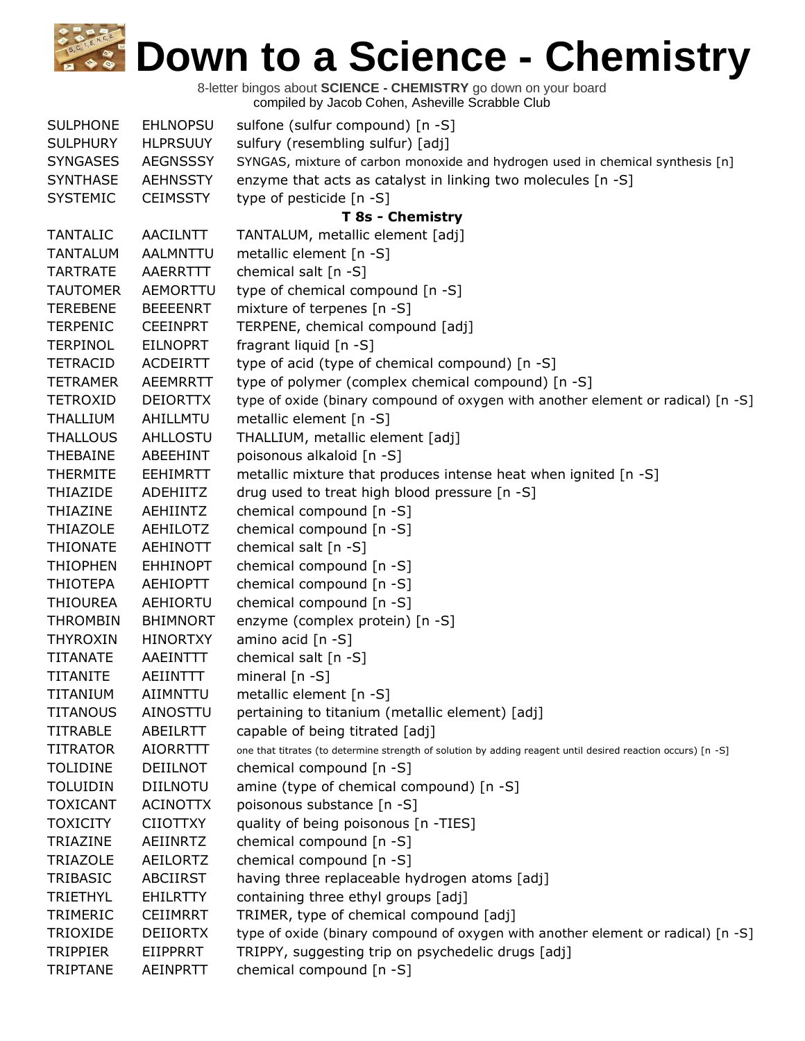| <b>SULPHONE</b> | <b>EHLNOPSU</b> | sulfone (sulfur compound) [n -S]                                                                             |
|-----------------|-----------------|--------------------------------------------------------------------------------------------------------------|
| <b>SULPHURY</b> | <b>HLPRSUUY</b> | sulfury (resembling sulfur) [adj]                                                                            |
| <b>SYNGASES</b> | <b>AEGNSSSY</b> | SYNGAS, mixture of carbon monoxide and hydrogen used in chemical synthesis [n]                               |
| <b>SYNTHASE</b> | <b>AEHNSSTY</b> | enzyme that acts as catalyst in linking two molecules [n -S]                                                 |
| <b>SYSTEMIC</b> | <b>CEIMSSTY</b> | type of pesticide [n -S]                                                                                     |
|                 |                 | T 8s - Chemistry                                                                                             |
| <b>TANTALIC</b> | <b>AACILNTT</b> | TANTALUM, metallic element [adj]                                                                             |
| <b>TANTALUM</b> | AALMNTTU        | metallic element [n -S]                                                                                      |
| <b>TARTRATE</b> | AAERRTTT        | chemical salt [n -S]                                                                                         |
| <b>TAUTOMER</b> | AEMORTTU        | type of chemical compound [n -S]                                                                             |
| <b>TEREBENE</b> | <b>BEEEENRT</b> | mixture of terpenes [n -S]                                                                                   |
| <b>TERPENIC</b> | <b>CEEINPRT</b> | TERPENE, chemical compound [adj]                                                                             |
| <b>TERPINOL</b> | <b>EILNOPRT</b> | fragrant liquid [n -S]                                                                                       |
| <b>TETRACID</b> | <b>ACDEIRTT</b> | type of acid (type of chemical compound) [n -S]                                                              |
| <b>TETRAMER</b> | <b>AEEMRRTT</b> | type of polymer (complex chemical compound) [n -S]                                                           |
| <b>TETROXID</b> | <b>DEIORTTX</b> | type of oxide (binary compound of oxygen with another element or radical) [n -S]                             |
| <b>THALLIUM</b> | AHILLMTU        | metallic element [n -S]                                                                                      |
| <b>THALLOUS</b> | AHLLOSTU        | THALLIUM, metallic element [adj]                                                                             |
| <b>THEBAINE</b> | ABEEHINT        | poisonous alkaloid [n -S]                                                                                    |
| <b>THERMITE</b> | <b>EEHIMRTT</b> | metallic mixture that produces intense heat when ignited [n -S]                                              |
| <b>THIAZIDE</b> | <b>ADEHIITZ</b> | drug used to treat high blood pressure [n -S]                                                                |
| <b>THIAZINE</b> | <b>AEHIINTZ</b> | chemical compound [n -S]                                                                                     |
| <b>THIAZOLE</b> | <b>AEHILOTZ</b> | chemical compound [n -S]                                                                                     |
| <b>THIONATE</b> | <b>AEHINOTT</b> | chemical salt [n -S]                                                                                         |
| <b>THIOPHEN</b> | <b>EHHINOPT</b> | chemical compound [n -S]                                                                                     |
| <b>THIOTEPA</b> | <b>AEHIOPTT</b> | chemical compound [n -S]                                                                                     |
| <b>THIOUREA</b> | <b>AEHIORTU</b> | chemical compound [n -S]                                                                                     |
| <b>THROMBIN</b> | <b>BHIMNORT</b> | enzyme (complex protein) [n -S]                                                                              |
| <b>THYROXIN</b> | <b>HINORTXY</b> | amino acid [n -S]                                                                                            |
| <b>TITANATE</b> | AAEINTTT        | chemical salt [n -S]                                                                                         |
| <b>TITANITE</b> | <b>AEIINTTT</b> | mineral $[n - S]$                                                                                            |
| <b>TITANIUM</b> | AIIMNTTU        | metallic element [n -S]                                                                                      |
| <b>TITANOUS</b> | AINOSTTU        | pertaining to titanium (metallic element) [adj]                                                              |
| <b>TITRABLE</b> | ABEILRTT        | capable of being titrated [adj]                                                                              |
| <b>TITRATOR</b> | <b>AIORRTTT</b> | one that titrates (to determine strength of solution by adding reagent until desired reaction occurs) [n -S] |
| <b>TOLIDINE</b> | <b>DEIILNOT</b> | chemical compound [n -S]                                                                                     |
| <b>TOLUIDIN</b> | <b>DIILNOTU</b> | amine (type of chemical compound) [n -S]                                                                     |
| <b>TOXICANT</b> | <b>ACINOTTX</b> | poisonous substance [n -S]                                                                                   |
| <b>TOXICITY</b> | <b>CIIOTTXY</b> | quality of being poisonous [n -TIES]                                                                         |
| TRIAZINE        | AEIINRTZ        | chemical compound [n -S]                                                                                     |
| <b>TRIAZOLE</b> | <b>AEILORTZ</b> | chemical compound [n -S]                                                                                     |
| <b>TRIBASIC</b> | <b>ABCIIRST</b> | having three replaceable hydrogen atoms [adj]                                                                |
| <b>TRIETHYL</b> | <b>EHILRTTY</b> | containing three ethyl groups [adj]                                                                          |
| TRIMERIC        | <b>CEIIMRRT</b> | TRIMER, type of chemical compound [adj]                                                                      |
| <b>TRIOXIDE</b> | <b>DEIIORTX</b> | type of oxide (binary compound of oxygen with another element or radical) [n -S]                             |
| <b>TRIPPIER</b> | <b>EIIPPRRT</b> | TRIPPY, suggesting trip on psychedelic drugs [adj]                                                           |
| TRIPTANE        | <b>AEINPRTT</b> | chemical compound [n -S]                                                                                     |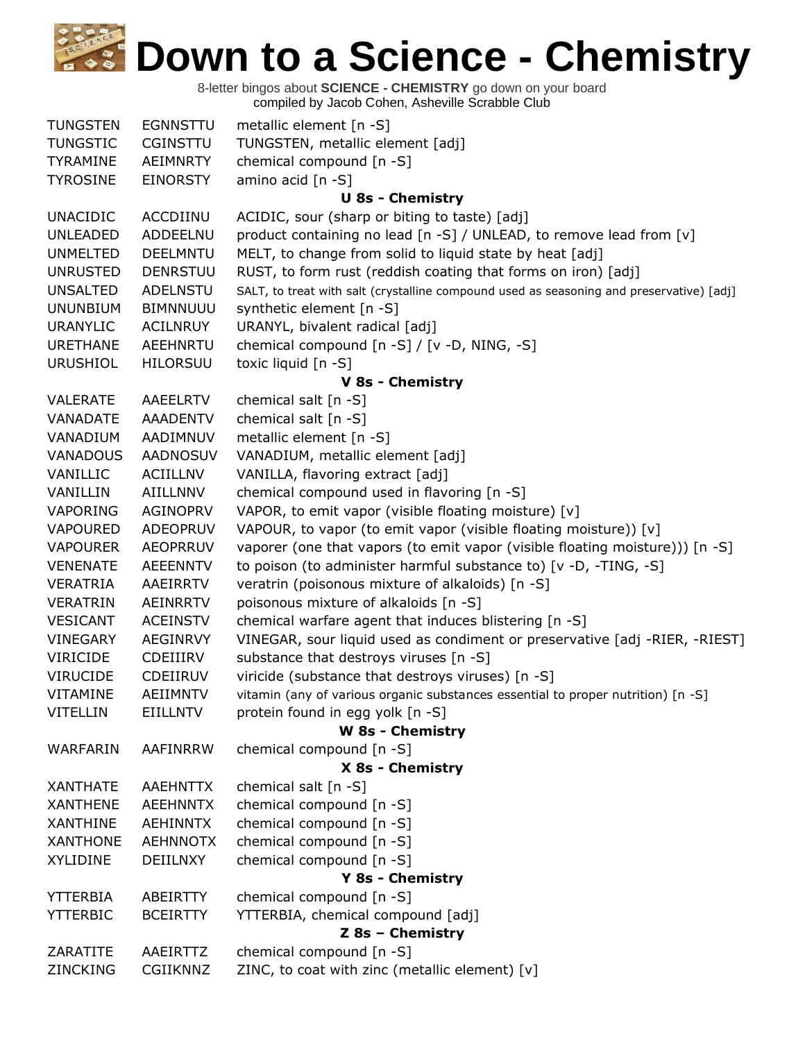| <b>TUNGSTEN</b> | <b>EGNNSTTU</b> | metallic element [n -S]                                                                  |
|-----------------|-----------------|------------------------------------------------------------------------------------------|
| <b>TUNGSTIC</b> | CGINSTTU        | TUNGSTEN, metallic element [adj]                                                         |
| <b>TYRAMINE</b> | <b>AEIMNRTY</b> | chemical compound [n -S]                                                                 |
| <b>TYROSINE</b> | <b>EINORSTY</b> | amino acid [n -S]                                                                        |
|                 |                 | <b>U 8s - Chemistry</b>                                                                  |
| <b>UNACIDIC</b> | ACCDIINU        | ACIDIC, sour (sharp or biting to taste) [adj]                                            |
| <b>UNLEADED</b> | ADDEELNU        | product containing no lead [n -S] / UNLEAD, to remove lead from [v]                      |
| <b>UNMELTED</b> | <b>DEELMNTU</b> | MELT, to change from solid to liquid state by heat [adj]                                 |
| <b>UNRUSTED</b> | <b>DENRSTUU</b> | RUST, to form rust (reddish coating that forms on iron) [adj]                            |
| <b>UNSALTED</b> | <b>ADELNSTU</b> | SALT, to treat with salt (crystalline compound used as seasoning and preservative) [adj] |
| <b>UNUNBIUM</b> | <b>BIMNNUUU</b> | synthetic element [n -S]                                                                 |
| <b>URANYLIC</b> | <b>ACILNRUY</b> | URANYL, bivalent radical [adj]                                                           |
| <b>URETHANE</b> | AEEHNRTU        | chemical compound [n -S] / [v -D, NING, -S]                                              |
| <b>URUSHIOL</b> | <b>HILORSUU</b> | toxic liquid [n -S]                                                                      |
|                 |                 | V 8s - Chemistry                                                                         |
| VALERATE        | AAEELRTV        | chemical salt $[n -S]$                                                                   |
| VANADATE        | <b>AAADENTV</b> | chemical salt [n -S]                                                                     |
| VANADIUM        | AADIMNUV        | metallic element [n -S]                                                                  |
| <b>VANADOUS</b> | AADNOSUV        | VANADIUM, metallic element [adj]                                                         |
| VANILLIC        | <b>ACIILLNV</b> | VANILLA, flavoring extract [adj]                                                         |
| VANILLIN        | AIILLNNV        | chemical compound used in flavoring [n -S]                                               |
| VAPORING        | <b>AGINOPRV</b> | VAPOR, to emit vapor (visible floating moisture) [v]                                     |
| <b>VAPOURED</b> | <b>ADEOPRUV</b> | VAPOUR, to vapor (to emit vapor (visible floating moisture)) [v]                         |
| <b>VAPOURER</b> | <b>AEOPRRUV</b> | vaporer (one that vapors (to emit vapor (visible floating moisture))) [n -S]             |
| <b>VENENATE</b> | <b>AEEENNTV</b> | to poison (to administer harmful substance to) [v -D, -TING, -S]                         |
| <b>VERATRIA</b> | AAEIRRTV        | veratrin (poisonous mixture of alkaloids) [n -S]                                         |
| <b>VERATRIN</b> | <b>AEINRRTV</b> | poisonous mixture of alkaloids [n -S]                                                    |
| <b>VESICANT</b> | <b>ACEINSTV</b> | chemical warfare agent that induces blistering [n -S]                                    |
| <b>VINEGARY</b> | <b>AEGINRVY</b> | VINEGAR, sour liquid used as condiment or preservative [adj -RIER, -RIEST]               |
| <b>VIRICIDE</b> | CDEIIIRV        | substance that destroys viruses [n -S]                                                   |
| <b>VIRUCIDE</b> | <b>CDEIIRUV</b> | viricide (substance that destroys viruses) [n -S]                                        |
| VITAMINE        | AEIIMNTV        | vitamin (any of various organic substances essential to proper nutrition) [n -S]         |
| <b>VITELLIN</b> | <b>EIILLNTV</b> | protein found in egg yolk [n -S]                                                         |
|                 |                 | W 8s - Chemistry                                                                         |
| WARFARIN        | AAFINRRW        | chemical compound [n -S]                                                                 |
| <b>XANTHATE</b> | <b>AAEHNTTX</b> | X 8s - Chemistry                                                                         |
| <b>XANTHENE</b> | <b>AEEHNNTX</b> | chemical salt [n -S]                                                                     |
| <b>XANTHINE</b> | <b>AEHINNTX</b> | chemical compound [n -S]                                                                 |
| <b>XANTHONE</b> |                 | chemical compound [n -S]<br>chemical compound [n -S]                                     |
|                 | <b>AEHNNOTX</b> |                                                                                          |
| <b>XYLIDINE</b> | <b>DEIILNXY</b> | chemical compound [n -S]<br>Y 8s - Chemistry                                             |
| <b>YTTERBIA</b> | ABEIRTTY        | chemical compound [n -S]                                                                 |
| <b>YTTERBIC</b> | <b>BCEIRTTY</b> | YTTERBIA, chemical compound [adj]                                                        |
|                 |                 | Z 8s - Chemistry                                                                         |
| ZARATITE        | AAEIRTTZ        | chemical compound [n -S]                                                                 |
| ZINCKING        | CGIIKNNZ        | ZINC, to coat with zinc (metallic element) [v]                                           |
|                 |                 |                                                                                          |